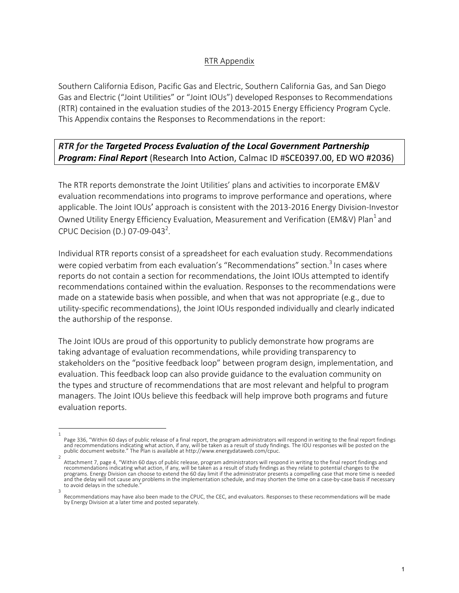## RTR Appendix

Southern California Edison, Pacific Gas and Electric, Southern California Gas, and San Diego Gas and Electric ("Joint Utilities" or "Joint IOUs") developed Responses to Recommendations (RTR) contained in the evaluation studies of the 2013-2015 Energy Efficiency Program Cycle. This Appendix contains the Responses to Recommendations in the report:

## **RTR** for the Targeted Process Evaluation of the Local Government Partnership **Program: Final Report** (Research Into Action, Calmac ID #SCE0397.00, ED WO #2036)

The RTR reports demonstrate the Joint Utilities' plans and activities to incorporate EM&V evaluation recommendations into programs to improve performance and operations, where applicable. The Joint IOUs' approach is consistent with the 2013-2016 Energy Division-Investor Owned Utility Energy Efficiency Evaluation, Measurement and Verification (EM&V) Plan<sup>1</sup> and CPUC Decision (D.) 07-09-043<sup>2</sup>.

Individual RTR reports consist of a spreadsheet for each evaluation study. Recommendations were copied verbatim from each evaluation's "Recommendations" section.<sup>3</sup> In cases where reports do not contain a section for recommendations, the Joint IOUs attempted to identify recommendations contained within the evaluation. Responses to the recommendations were made on a statewide basis when possible, and when that was not appropriate (e.g., due to utility-specific recommendations), the Joint IOUs responded individually and clearly indicated the authorship of the response.

The Joint IOUs are proud of this opportunity to publicly demonstrate how programs are taking advantage of evaluation recommendations, while providing transparency to stakeholders on the "positive feedback loop" between program design, implementation, and evaluation. This feedback loop can also provide guidance to the evaluation community on the types and structure of recommendations that are most relevant and helpful to program managers. The Joint IOUs believe this feedback will help improve both programs and future evaluation reports.

<sup>1</sup>  Page 336, "Within 60 days of public release of a final report, the program administrators will respond in writing to the final report findings and recommendations indicating what action, if any, will be taken as a result of study findings. The IOU responses will be posted on the public document website." The Plan is available at http://www.energydataweb.com/cpuc.

<sup>2</sup>  Attachment 7, page 4, "Within 60 days of public release, program administrators will respond in writing to the final report findings and recommendations indicating what action, if any, will be taken as a result of study findings as they relate to potential changes to the programs. Energy Division can choose to extend the 60 day limit if the administrator presents a compelling case that more time is needed and the delay will not cause any problems in the implementation schedule, and may shorten the time on a case-by-case basis if necessary to avoid delays in the schedule. 3 

Recommendations may have also been made to the CPUC, the CEC, and evaluators. Responses to these recommendations will be made by Energy Division at a later time and posted separately.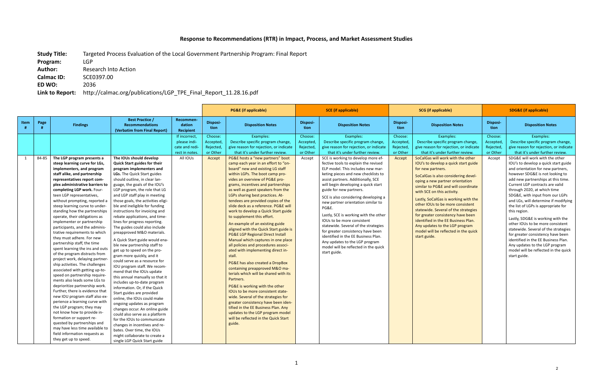## Response to Recommendations (RTR) in Impact, Process, and Market Assessment Studies

**Study Title:** Targeted Process Evaluation of the Local Government Partnership Program: Final Report

Author: Research Into Action **Calmac ID:**  SCE0397.00

**Program:**  LGP

**ED WO:**  2036

Link to Report: http://calmac.org/publications/LGP\_TPE\_Final\_Report\_11.28.16.pdf

|      |       |                                                                                                                                                                                                                                                                                                                                                                                                                                                                                                                                                                                                                                                                                                                                                                                                                                                                                                                                                                                                                                                                                                                                                                   |                                                                                                                                                                                                                                                                                                                                                                                                                                                                                                                                                                                                                                                                                                                                                                                                                                                                                                                                                                                                                                                                                                                                                                       |                                                                             | <b>PG&amp;E</b> (if applicable)                        |                                                                                                                                                                                                                                                                                                                                                                                                                                                                                                                                                                                                                                                                                                                                                                                                                                                                                                                                                                                                                                                                                                                                                                                                                                                        | <b>SCE</b> (if applicable)                             |                                                                                                                                                                                                                                                                                                                                                                                                                                                                                                                                                                                                                                                                                                                                                                                      |                                                         | <b>SCG</b> (if applicable)                                                                                                                                                                                                                                                                                                                                                                                                                                                                                                                                                                                                                                             | <b>SDG&amp;E (if applicable)</b>                       |                                                                                                                                                                                                                                                                                                                                                                                                                                                                                                                                                                                                                                                                                                                                                                                                                |  |
|------|-------|-------------------------------------------------------------------------------------------------------------------------------------------------------------------------------------------------------------------------------------------------------------------------------------------------------------------------------------------------------------------------------------------------------------------------------------------------------------------------------------------------------------------------------------------------------------------------------------------------------------------------------------------------------------------------------------------------------------------------------------------------------------------------------------------------------------------------------------------------------------------------------------------------------------------------------------------------------------------------------------------------------------------------------------------------------------------------------------------------------------------------------------------------------------------|-----------------------------------------------------------------------------------------------------------------------------------------------------------------------------------------------------------------------------------------------------------------------------------------------------------------------------------------------------------------------------------------------------------------------------------------------------------------------------------------------------------------------------------------------------------------------------------------------------------------------------------------------------------------------------------------------------------------------------------------------------------------------------------------------------------------------------------------------------------------------------------------------------------------------------------------------------------------------------------------------------------------------------------------------------------------------------------------------------------------------------------------------------------------------|-----------------------------------------------------------------------------|--------------------------------------------------------|--------------------------------------------------------------------------------------------------------------------------------------------------------------------------------------------------------------------------------------------------------------------------------------------------------------------------------------------------------------------------------------------------------------------------------------------------------------------------------------------------------------------------------------------------------------------------------------------------------------------------------------------------------------------------------------------------------------------------------------------------------------------------------------------------------------------------------------------------------------------------------------------------------------------------------------------------------------------------------------------------------------------------------------------------------------------------------------------------------------------------------------------------------------------------------------------------------------------------------------------------------|--------------------------------------------------------|--------------------------------------------------------------------------------------------------------------------------------------------------------------------------------------------------------------------------------------------------------------------------------------------------------------------------------------------------------------------------------------------------------------------------------------------------------------------------------------------------------------------------------------------------------------------------------------------------------------------------------------------------------------------------------------------------------------------------------------------------------------------------------------|---------------------------------------------------------|------------------------------------------------------------------------------------------------------------------------------------------------------------------------------------------------------------------------------------------------------------------------------------------------------------------------------------------------------------------------------------------------------------------------------------------------------------------------------------------------------------------------------------------------------------------------------------------------------------------------------------------------------------------------|--------------------------------------------------------|----------------------------------------------------------------------------------------------------------------------------------------------------------------------------------------------------------------------------------------------------------------------------------------------------------------------------------------------------------------------------------------------------------------------------------------------------------------------------------------------------------------------------------------------------------------------------------------------------------------------------------------------------------------------------------------------------------------------------------------------------------------------------------------------------------------|--|
| Item | Page  | <b>Findings</b>                                                                                                                                                                                                                                                                                                                                                                                                                                                                                                                                                                                                                                                                                                                                                                                                                                                                                                                                                                                                                                                                                                                                                   | <b>Best Practice /</b><br><b>Recommendations</b><br>(Verbatim from Final Report)                                                                                                                                                                                                                                                                                                                                                                                                                                                                                                                                                                                                                                                                                                                                                                                                                                                                                                                                                                                                                                                                                      | Recommen<br>dation<br><b>Recipient</b>                                      | <b>Disposi-</b><br>tion                                | <b>Disposition Notes</b>                                                                                                                                                                                                                                                                                                                                                                                                                                                                                                                                                                                                                                                                                                                                                                                                                                                                                                                                                                                                                                                                                                                                                                                                                               | Disposi-<br>tion                                       | <b>Disposition Notes</b>                                                                                                                                                                                                                                                                                                                                                                                                                                                                                                                                                                                                                                                                                                                                                             | Disposi-<br>tion                                        | <b>Disposition Notes</b>                                                                                                                                                                                                                                                                                                                                                                                                                                                                                                                                                                                                                                               | Disposi-<br>tion                                       | <b>Disposition Notes</b>                                                                                                                                                                                                                                                                                                                                                                                                                                                                                                                                                                                                                                                                                                                                                                                       |  |
| 1    | 84-85 | The LGP program presents a<br>steep learning curve for LGs,<br>implementers, and program<br>staff alike, and partnership<br>representatives report com-<br>plex administrative barriers to<br>completing LGP work. Four-<br>teen LGP representatives,<br>without prompting, reported a<br>steep learning curve to under-<br>standing how the partnerships<br>operate, their obligations as<br>implementer or partnership<br>participants, and the adminis-<br>trative requirements to which<br>they must adhere. For new<br>partnership staff, the time<br>spent learning the ins and outs<br>of the program distracts from<br>project work, delaying partner-<br>ship activities. The challenges<br>associated with getting up-to-<br>speed on partnership require-<br>ments also leads some LGs to<br>deprioritize partnership work.<br>Further, there is evidence that<br>new IOU program staff also ex-<br>perience a learning curve with<br>the LGP program; they may<br>not know how to provide in-<br>formation or support re-<br>quested by partnerships and<br>may have less time available to<br>field information requests as<br>they get up to speed. | The IOUs should develop<br><b>Quick Start guides for their</b><br>program implementers and<br>LGs. The Quick Start guides<br>should outline, in clear lan-<br>guage, the goals of the IOU's<br>LGP program, the role that LG<br>and LGP staff play in meeting<br>those goals, the activities eligi-<br>ble and ineligible for funding<br>instructions for invoicing and<br>rebate applications, and time-<br>lines for progress reporting.<br>The guides could also include<br>preapproved M&O materials.<br>A Quick Start guide would ena-<br>ble new partnership staff to<br>get up to speed on the pro-<br>gram more quickly, and it<br>could serve as a resource for<br>IOU program staff. We recom-<br>mend that the IOUs update<br>this annual manually so that it<br>includes up-to-date program<br>information. Or, if the Quick<br>Start guides are provided<br>online, the IOUs could make<br>ongoing updates as program<br>changes occur. An online guide<br>could also serve as a platform<br>for the IOUs to communicate<br>changes in incentives and re-<br>bates. Over time, the IOUs<br>might collaborate to create a<br>single LGP Quick Start guide | If incorrect<br>please indi-<br>cate and redi-<br>rect in notes<br>All IOUs | Choose:<br>Accepted<br>Rejected,<br>or Other<br>Accept | Examples:<br>Describe specific program change,<br>give reason for rejection, or indicate<br>that it's under further review.<br>PG&E hosts a "new partners" boot<br>camp each year in an effort to "on-<br>board" new and existing LG staff<br>within LGPs. The boot camp pro-<br>vides an overview of PG&E pro-<br>grams, incentives and partnerships<br>as well as guest speakers from the<br>LGPs sharing best practices. At-<br>tendees are provided copies of the<br>slide deck as a reference. PG&E will<br>work to develop a Quick Start guide<br>to supplement this effort.<br>An example of an existing guide<br>aligned with the Quick Start guide is<br><b>PG&amp;E LGP Regional Direct Install</b><br>Manual which captures in one place<br>all policies and procedures associ-<br>ated with implementing direct in-<br>stall.<br>PG&E has also created a DropBox<br>containing preapproved M&O ma-<br>terials which will be shared with its<br>Partners.<br>PG&E is working with the other<br>IOUs to be more consistent state-<br>wide. Several of the strategies for<br>greater consistency have been iden-<br>tified in the EE Business Plan. Any<br>updates to the LGP program model<br>will be reflected in the Quick Start<br>guide. | Choose:<br>Accepted<br>Rejected,<br>or Other<br>Accept | Examples:<br>Describe specific program change,<br>give reason for rejection, or indicate<br>that it's under further review.<br>SCE is working to develop more ef-<br>fective tools to explain the revised<br>ELP model. This includes new mar-<br>keting pieces and new checklists to<br>assist partners. Additionally, SCE<br>will begin developing a quick start<br>guide for new partners.<br>SCE is also considering developing a<br>new partner orientation similar to<br><b>PG&amp;E.</b><br>Lastly, SCE is working with the other<br>IOUs to be more consistent<br>statewide. Several of the strategies<br>for greater consistency have been<br>identified in the EE Business Plan.<br>Any updates to the LGP program<br>model will be reflected in the quick<br>start guide. | Choose:<br>Accepted,<br>Rejected,<br>or Other<br>Accept | Examples:<br>Describe specific program change,<br>give reason for rejection, or indicate<br>that it's under further review.<br>SoCalGas will work with the other<br>IOU's to develop a quick start guide<br>for new partners.<br>SoCalGas is also considering devel-<br>oping a new partner orientation<br>similar to PG&E and will coordinate<br>with SCE on this activity.<br>Lastly, SoCalGas is working with the<br>other IOUs to be more consistent<br>statewide. Several of the strategies<br>for greater consistency have been<br>identified in the EE Business Plan.<br>Any updates to the LGP program<br>model will be reflected in the quick<br>start guide. | Choose:<br>Accepted<br>Rejected,<br>or Other<br>Accept | Examples:<br>Describe specific program change,<br>give reason for rejection, or indicate<br>that it's under further review.<br>SDG&E will work with the other<br>IOU's to develop a quick start guide<br>and orientation for new partners,<br>however SDG&E is not looking to<br>add new partnerships at this time.<br>Current LGP contracts are valid<br>through 2020, at which time<br>SDG&E, with input from our LGPs<br>and LGs, will determine if modifying<br>the list of LGPs is appropriate for<br>this region.<br>Lastly, SDG&E is working with the<br>other IOUs to be more consistent<br>statewide. Several of the strategies<br>for greater consistency have been<br>identified in the EE Business Plan.<br>Any updates to the LGP program<br>model will be reflected in the quick<br>start guide. |  |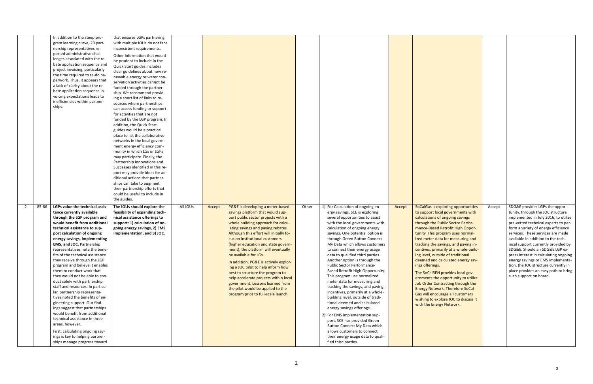|                         | In addition to the steep pro-                                  | that ensures LGPs partnering     |          |        |                                         |       |                                                                 |        |                                                      |        |                                                                           |
|-------------------------|----------------------------------------------------------------|----------------------------------|----------|--------|-----------------------------------------|-------|-----------------------------------------------------------------|--------|------------------------------------------------------|--------|---------------------------------------------------------------------------|
|                         | gram learning curve, 20 part-                                  | with multiple IOUs do not face   |          |        |                                         |       |                                                                 |        |                                                      |        |                                                                           |
|                         | nership representatives re-                                    | inconsistent requirements.       |          |        |                                         |       |                                                                 |        |                                                      |        |                                                                           |
|                         | ported administrative chal-                                    | Other information that would     |          |        |                                         |       |                                                                 |        |                                                      |        |                                                                           |
|                         | lenges associated with the re-                                 | be prudent to include in the     |          |        |                                         |       |                                                                 |        |                                                      |        |                                                                           |
|                         | bate application sequence and                                  | Quick Start guides includes      |          |        |                                         |       |                                                                 |        |                                                      |        |                                                                           |
|                         | project invoicing, particularly                                | clear guidelines about how re-   |          |        |                                         |       |                                                                 |        |                                                      |        |                                                                           |
|                         | the time required to re-do pa-                                 | newable energy or water con-     |          |        |                                         |       |                                                                 |        |                                                      |        |                                                                           |
|                         | perwork. Thus, it appears that                                 | servation activities cannot be   |          |        |                                         |       |                                                                 |        |                                                      |        |                                                                           |
|                         | a lack of clarity about the re-                                | funded through the partner-      |          |        |                                         |       |                                                                 |        |                                                      |        |                                                                           |
|                         | bate application sequence in-                                  | ship. We recommend provid-       |          |        |                                         |       |                                                                 |        |                                                      |        |                                                                           |
|                         | voicing expectations leads to                                  | ing a short list of links to re- |          |        |                                         |       |                                                                 |        |                                                      |        |                                                                           |
|                         | inefficiencies within partner-                                 | sources where partnerships       |          |        |                                         |       |                                                                 |        |                                                      |        |                                                                           |
|                         | ships.                                                         | can access funding or support    |          |        |                                         |       |                                                                 |        |                                                      |        |                                                                           |
|                         |                                                                | for activities that are not      |          |        |                                         |       |                                                                 |        |                                                      |        |                                                                           |
|                         |                                                                | funded by the LGP program. In    |          |        |                                         |       |                                                                 |        |                                                      |        |                                                                           |
|                         |                                                                | addition, the Quick Start        |          |        |                                         |       |                                                                 |        |                                                      |        |                                                                           |
|                         |                                                                | guides would be a practical      |          |        |                                         |       |                                                                 |        |                                                      |        |                                                                           |
|                         |                                                                | place to list the collaborative  |          |        |                                         |       |                                                                 |        |                                                      |        |                                                                           |
|                         |                                                                | networks in the local govern-    |          |        |                                         |       |                                                                 |        |                                                      |        |                                                                           |
|                         |                                                                | ment energy efficiency com-      |          |        |                                         |       |                                                                 |        |                                                      |        |                                                                           |
|                         |                                                                | munity in which LGs or LGPs      |          |        |                                         |       |                                                                 |        |                                                      |        |                                                                           |
|                         |                                                                | may participate. Finally, the    |          |        |                                         |       |                                                                 |        |                                                      |        |                                                                           |
|                         |                                                                | Partnership Innovations and      |          |        |                                         |       |                                                                 |        |                                                      |        |                                                                           |
|                         |                                                                | Successes identified in this re- |          |        |                                         |       |                                                                 |        |                                                      |        |                                                                           |
|                         |                                                                | port may provide ideas for ad-   |          |        |                                         |       |                                                                 |        |                                                      |        |                                                                           |
|                         |                                                                | ditional actions that partner-   |          |        |                                         |       |                                                                 |        |                                                      |        |                                                                           |
|                         |                                                                | ships can take to augment        |          |        |                                         |       |                                                                 |        |                                                      |        |                                                                           |
|                         |                                                                | their partnership efforts that   |          |        |                                         |       |                                                                 |        |                                                      |        |                                                                           |
|                         |                                                                | could be useful to include in    |          |        |                                         |       |                                                                 |        |                                                      |        |                                                                           |
|                         |                                                                | the guides.                      |          |        |                                         |       |                                                                 |        |                                                      |        |                                                                           |
|                         |                                                                |                                  |          |        |                                         |       |                                                                 |        |                                                      |        |                                                                           |
| 85-86<br>$\overline{2}$ | LGPs value the technical assis-                                | The IOUs should explore the      | All IOUs | Accept | PG&E is developing a meter-based        | Other | 1) For Calculation of ongoing en-                               | Accept | SoCalGas is exploring opportunities                  | Accept | SDG&E provides LGPs the oppor-                                            |
|                         | tance currently available                                      | feasibility of expanding tech-   |          |        | savings platform that would sup-        |       | ergy savings, SCE is exploring                                  |        | to support local governments with                    |        | tunity, through the JOC structure                                         |
|                         | through the LGP program and                                    | nical assistance offerings to    |          |        | port public sector projects with a      |       | several opportunities to assist                                 |        | calculations of ongoing savings                      |        | implemented in July 2016, to utilize                                      |
|                         | would benefit from additional                                  | support: 1) calculation of on-   |          |        | whole building approach for calcu-      |       | with the local governments with                                 |        | through the Public Sector Perfor-                    |        | pre-vetted technical experts to per-                                      |
|                         | technical assistance to sup-                                   | going energy savings, 2) EMS     |          |        | lating savings and paying rebates.      |       | calculation of ongoing energy                                   |        | mance-Based Retrofit High Oppor-                     |        | form a variety of energy efficiency<br>services. These services are made  |
|                         | port calculation of ongoing                                    | implementation, and 3) JOC.      |          |        | Although this effort will initially fo- |       | savings. One potential option is                                |        | tunity. This program uses normal-                    |        |                                                                           |
|                         | energy savings, implementing                                   |                                  |          |        | cus on institutional customers          |       | through Green Button Connect                                    |        | ized meter data for measuring and                    |        | available in addition to the tech-                                        |
|                         | <b>EMS, and JOC. Partnership</b>                               |                                  |          |        | (higher education and state govern-     |       | My Data which allows customers                                  |        | tracking the savings, and paying in-                 |        | nical support currently provided by                                       |
|                         | representatives note the bene-                                 |                                  |          |        | ment), the platform will eventually     |       | to connect their energy usage                                   |        | centives, primarily at a whole-build-                |        | SDG&E. Should an SDG&E LGP ex-                                            |
|                         | fits of the technical assistance                               |                                  |          |        | be available for LGs.                   |       | data to qualified third parties.                                |        | ing level, outside of traditional                    |        | press interest in calculating ongoing                                     |
|                         | they receive through the LGP<br>program and believe it enables |                                  |          |        | In addition, PG&E is actively explor-   |       | Another option is through the<br>Public Sector Performance-     |        | deemed and calculated energy sav-<br>ings offerings. |        | energy savings or EMS implementa-<br>tion, the JOC structure currently in |
|                         |                                                                |                                  |          |        | ing a JOC pilot to help inform how      |       |                                                                 |        |                                                      |        | place provides an easy path to bring                                      |
|                         | them to conduct work that<br>they would not be able to con-    |                                  |          |        | best to structure the program to        |       | Based Retrofit High Opportunity.<br>This program use normalized |        | The SoCalREN provides local gov-                     |        | such support on board.                                                    |
|                         | duct solely with partnership                                   |                                  |          |        | help accelerate projects within local   |       | meter data for measuring and                                    |        | ernments the opportunity to utilize                  |        |                                                                           |
|                         | staff and resources. In particu-                               |                                  |          |        | government. Lessons learned from        |       | tracking the savings, and paying                                |        | Job Order Contracting through the                    |        |                                                                           |
|                         | lar, partnership representa-                                   |                                  |          |        | the pilot would be applied to the       |       | incentives, primarily at a whole-                               |        | <b>Energy Network. Therefore SoCal-</b>              |        |                                                                           |
|                         | tives noted the benefits of en-                                |                                  |          |        | program prior to full-scale launch.     |       | building level, outside of tradi-                               |        | Gas will encourage all customers                     |        |                                                                           |
|                         | gineering support. Our find-                                   |                                  |          |        |                                         |       | tional deemed and calculated                                    |        | wishing to explore JOC to discuss it                 |        |                                                                           |
|                         | ings suggest that partnerships                                 |                                  |          |        |                                         |       | energy savings offerings.                                       |        | with the Energy Network.                             |        |                                                                           |
|                         | would benefit from additional                                  |                                  |          |        |                                         |       |                                                                 |        |                                                      |        |                                                                           |
|                         | technical assistance in three                                  |                                  |          |        |                                         |       | 2) For EMS implementation sup-                                  |        |                                                      |        |                                                                           |
|                         | areas, however.                                                |                                  |          |        |                                         |       | port, SCE has provided Green                                    |        |                                                      |        |                                                                           |
|                         |                                                                |                                  |          |        |                                         |       | Button Connect My Data which                                    |        |                                                      |        |                                                                           |
|                         | First, calculating ongoing sav-                                |                                  |          |        |                                         |       | allows customers to connect                                     |        |                                                      |        |                                                                           |
|                         | ings is key to helping partner-                                |                                  |          |        |                                         |       | their energy usage data to quali-                               |        |                                                      |        |                                                                           |
|                         | ships manage progress toward                                   |                                  |          |        |                                         |       | fied third parties.                                             |        |                                                      |        |                                                                           |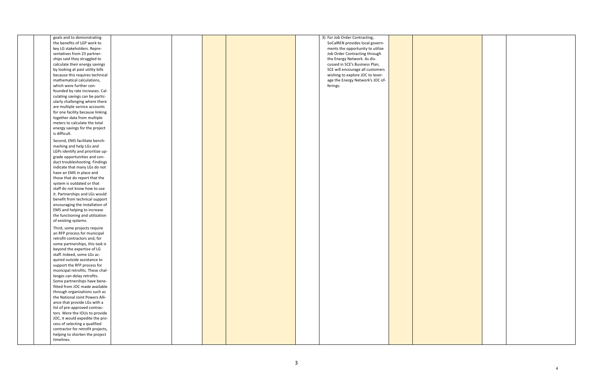|  | goals and to demonstrating        |  |  | 3) For Job Order Contracting,    |  |
|--|-----------------------------------|--|--|----------------------------------|--|
|  | the benefits of LGP work to       |  |  | SoCalREN provides local govern-  |  |
|  | key LG stakeholders. Repre-       |  |  | ments the opportunity to utilize |  |
|  | sentatives from 23 partner-       |  |  | Job Order Contracting through    |  |
|  | ships said they struggled to      |  |  | the Energy Network. As dis-      |  |
|  | calculate their energy savings    |  |  | cussed in SCE's Business Plan,   |  |
|  | by looking at past utility bills  |  |  | SCE will encourage all customers |  |
|  | because this requires technical   |  |  | wishing to explore JOC to lever- |  |
|  | mathematical calculations,        |  |  | age the Energy Network's JOC of- |  |
|  | which were further con-           |  |  | ferings.                         |  |
|  | founded by rate increases. Cal-   |  |  |                                  |  |
|  | culating savings can be partic-   |  |  |                                  |  |
|  | ularly challenging where there    |  |  |                                  |  |
|  |                                   |  |  |                                  |  |
|  | are multiple service accounts     |  |  |                                  |  |
|  | for one facility because linking  |  |  |                                  |  |
|  | together data from multiple       |  |  |                                  |  |
|  | meters to calculate the total     |  |  |                                  |  |
|  | energy savings for the project    |  |  |                                  |  |
|  | is difficult.                     |  |  |                                  |  |
|  | Second, EMS facilitate bench-     |  |  |                                  |  |
|  | marking and help LGs and          |  |  |                                  |  |
|  | LGPs identify and prioritize up-  |  |  |                                  |  |
|  | grade opportunities and con-      |  |  |                                  |  |
|  | duct troubleshooting. Findings    |  |  |                                  |  |
|  | indicate that many LGs do not     |  |  |                                  |  |
|  | have an EMS in place and          |  |  |                                  |  |
|  | those that do report that the     |  |  |                                  |  |
|  | system is outdated or that        |  |  |                                  |  |
|  | staff do not know how to use      |  |  |                                  |  |
|  | it. Partnerships and LGs would    |  |  |                                  |  |
|  | benefit from technical support    |  |  |                                  |  |
|  | encouraging the installation of   |  |  |                                  |  |
|  |                                   |  |  |                                  |  |
|  | EMS and helping to increase       |  |  |                                  |  |
|  | the functioning and utilization   |  |  |                                  |  |
|  | of existing systems.              |  |  |                                  |  |
|  | Third, some projects require      |  |  |                                  |  |
|  | an RFP process for municipal      |  |  |                                  |  |
|  | retrofit contractors and, for     |  |  |                                  |  |
|  | some partnerships, this task is   |  |  |                                  |  |
|  | beyond the expertise of LG        |  |  |                                  |  |
|  | staff. Indeed, some LGs ac-       |  |  |                                  |  |
|  | quired outside assistance to      |  |  |                                  |  |
|  | support the RFP process for       |  |  |                                  |  |
|  | municipal retrofits. These chal-  |  |  |                                  |  |
|  | lenges can delay retrofits.       |  |  |                                  |  |
|  | Some partnerships have bene-      |  |  |                                  |  |
|  | fitted from JOC made available    |  |  |                                  |  |
|  | through organizations such as     |  |  |                                  |  |
|  | the National Joint Powers Alli-   |  |  |                                  |  |
|  | ance that provide LGs with a      |  |  |                                  |  |
|  | list of pre-approved contrac-     |  |  |                                  |  |
|  |                                   |  |  |                                  |  |
|  | tors. Were the IOUs to provide    |  |  |                                  |  |
|  | JOC, it would expedite the pro-   |  |  |                                  |  |
|  | cess of selecting a qualified     |  |  |                                  |  |
|  | contractor for retrofit projects, |  |  |                                  |  |
|  | helping to shorten the project    |  |  |                                  |  |
|  | timelines.                        |  |  |                                  |  |

4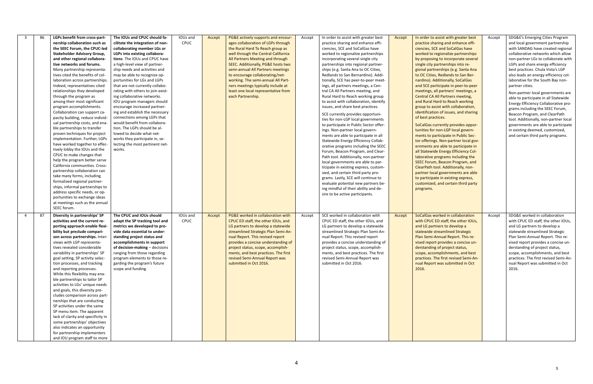| LGPs benefit from cross-part-<br>The IOUs and CPUC should fa-<br>In order to assist with greater best<br>SDG&E's Emerging Cities Program<br>86<br>IOUs and<br>PG&E actively supports and encour-<br>In order to assist with greater best<br>- 3<br>Accept<br>Accept<br>Accept<br>Accept<br><b>CPUC</b><br>ages collaboration of LGPs through<br>practice sharing and enhance effi-<br>and local government partnership<br>nership collaboration such as<br>cilitate the integration of non-<br>practice sharing and enhance effi-<br>the Rural Hard To Reach group as<br>ciencies, SCE and SoCalGas have<br>with SANDAG have created regional<br>the SEEC Forum, the CPUC-led<br>collaborating member LGs or<br>ciencies, SCE and SoCalGas have<br>well through the Central California<br>worked to regionalize partnerships<br>collaborative networks which allow<br><b>Stakeholder Advisory Group,</b><br>LGPs into existing collabora-<br>worked to regionalize partnerships<br>All Partners Meeting and through<br>non-partner LGs to collaborate with<br>and other regional collabora-<br>tions. The IOUs and CPUC have<br>incorporating several single city<br>by proposing to incorporate several<br>a high-level view of partner-<br>SEEC. Additionally, PG&E hosts two<br>single city partnerships into re-<br>LGPs and share energy efficiency<br>tive networks and forums.<br>partnerships into regional partner-<br>semi-annual All Partners meetings<br>best practices. Chula Vista's LGP<br>Many partnership representa-<br>ship needs and activities and<br>ships (e.g. Santa Ana to OC Cities,<br>gional partnerships (e.g. Santa Ana<br>tives cited the benefits of col-<br>to encourage collaborating/net-<br>Redlands to San Bernardino). Addi-<br>to OC Cities, Redlands to San Ber-<br>also leads an energy efficiency col-<br>may be able to recognize op-<br>working. The semi-annual All Part-<br>nardino). Additionally, SoCalGas<br>laborative for the South Bay non-<br>laboration across partnerships.<br>portunities for LGs and LGPs<br>tionally, SCE has peer-to-peer meet-<br>Indeed, representatives cited<br>that are not currently collabo-<br>ners meetings typically include at<br>ings, all partners meetings, a Cen-<br>and SCE participate in peer-to-peer<br>partner cities.<br>least one local representative from<br>relationships they developed<br>rating with others to join exist-<br>tral CA All Partners meeting, and<br>meetings, all partners' meetings, a<br>Non-partner local governments are<br><b>Central CA All Partners meeting,</b><br>through the program as<br>ing collaborative networks.<br>each Partnership.<br>Rural Hard to Reach working group<br>able to participate in all Statewide<br>among their most significant<br>IOU program managers should<br>to assist with collaboration, identify<br>and Rural Hard to Reach working<br>Energy Efficiency Collaborative pro-<br>issues, and share best practices.<br>program accomplishments.<br>encourage increased partner-<br>group to assist with collaboration,<br>grams including the SEEC Forum,<br>Collaboration can support ca-<br>ing and establish the necessary<br>identification of issues, and sharing<br>Beacon Program, and ClearPath<br>SCE currently provides opportuni-<br>pacity building, reduce individ-<br>connections among LGPs that<br>of best practices.<br>ties for non-LGP local governments<br>tool. Additionally, non-partner local<br>ual partnership costs, and ena-<br>would benefit from collabora-<br>to participate in Public Sector offer-<br>SoCalGas currently provides oppor-<br>governments are able to participate<br>tion. The LGPs should be al-<br>ble partnerships to transfer<br>tunities for non-LGP local govern-<br>in existing deemed, customized,<br>ings. Non-partner local govern-<br>proven techniques for project<br>lowed to decide what net-<br>ments are able to participate in all<br>ments to participate in Public Sec-<br>and certain third party programs.<br>implementation. Further, LGPs<br>works they participate in, se-<br>Statewide Energy Efficiency Collab-<br>tor offerings. Non-partner local gov-<br>have worked together to effec-<br>lecting the most pertinent net-<br>orative programs including the SEEC<br>ernments are able to participate in<br>tively lobby the IOUs and the<br>works.<br>Forum, Beacon Program, and Clear-<br>all Statewide Energy Efficiency Col-<br>CPUC to make changes that<br>Path tool. Additionally, non-partner<br>laborative programs including the<br>help the program better serve<br>local governments are able to par-<br>SEEC Forum, Beacon Program, and<br>California communities. Cross-<br>ClearPath tool. Additionally, non-<br>ticipate in existing express, custom-<br>partnership collaboration can<br>partner local governments are able<br>ized, and certain third party pro-<br>take many forms, including<br>grams. Lastly, SCE will continue to<br>to participate in existing express,<br>formalized regional partner-<br>evaluate potential new partners be-<br>customized, and certain third party<br>ships, informal partnerships to<br>ing mindful of their ability and de-<br>programs.<br>address specific needs, or op-<br>sire to be active participants.<br>portunities to exchange ideas<br>at meetings such as the annual<br>SEEC forum.<br>SCE worked in collaboration with<br>SDG&E worked in collaboration<br>87<br>Diversity in partnerships' SP<br>The CPUC and IOUs should<br>IOUs and<br>PG&E worked in collaboration with<br>SoCalGas worked in collaboration<br>$\overline{4}$<br>Accept<br>Accept<br>Accept<br>Accept<br><b>CPUC</b><br>with CPUC ED staff, the other IOUs,<br>activities and the current re-<br>adapt the SP tracking tool and<br>CPUC ED staff, the other IOUs, and<br>CPUC ED staff, the other IOUs, and<br>with CPUC ED staff, the other IOUs,<br>and LG partners to develop a<br>porting approach enable flexi-<br>metrics we developed to pro-<br>LG partners to develop a statewide<br>LG partners to develop a statewide<br>and LG partners to develop a<br>streamlined Strategic Plan Semi-An-<br>streamlined Strategic Plan Semi-An-<br>statewide streamlined Strategic<br>statewide streamlined Strategic<br>bility but preclude compari-<br>vide data essential to under-<br>son across partnerships. Inter-<br>nual Report. This revised report<br>Plan Semi-Annual Report. This re-<br>Plan Semi-Annual Report. This re-<br>standing project status and<br>nual Report. This revised report<br>vised report provides a concise un-<br>views with LGP representa-<br>accomplishments in support<br>provides a concise understanding of<br>provides a concise understanding of<br>vised report provides a concise un-<br>tives revealed considerable<br>of decision-making $-$ decisions<br>project status, scope, accomplish-<br>derstanding of project status,<br>derstanding of project status,<br>project status, scope, accomplish-<br>scope, accomplishments, and best<br>variability in partnerships' SP<br>ranging from those regarding<br>ments, and best practices. The first<br>ments, and best practices. The first<br>scope, accomplishments, and best<br>goal setting, SP activity selec-<br>program elements to those re-<br>revised Semi-Annual Report was<br>revised Semi-Annual Report was<br>practices. The first revised Semi-An-<br>practices. The first revised Semi-An-<br>tion processes, and tracking<br>garding the program's future<br>submitted in Oct 2016.<br>submitted in Oct 2016.<br>nual Report was submitted in Oct<br>nual Report was submitted in Oct<br>scope and funding.<br>2016.<br>and reporting processes.<br>2016.<br>While this flexibility may ena-<br>ble partnerships to tailor SP<br>activities to LGs' unique needs<br>and goals, this diversity pre-<br>cludes comparison across part-<br>nerships that are conducting<br>SP activities under the same<br>SP menu item. The apparent<br>lack of clarity and specificity in<br>some partnerships' objectives<br>also indicates an opportunity<br>for partnership implementers |  |  |  |  |  |  |
|-----------------------------------------------------------------------------------------------------------------------------------------------------------------------------------------------------------------------------------------------------------------------------------------------------------------------------------------------------------------------------------------------------------------------------------------------------------------------------------------------------------------------------------------------------------------------------------------------------------------------------------------------------------------------------------------------------------------------------------------------------------------------------------------------------------------------------------------------------------------------------------------------------------------------------------------------------------------------------------------------------------------------------------------------------------------------------------------------------------------------------------------------------------------------------------------------------------------------------------------------------------------------------------------------------------------------------------------------------------------------------------------------------------------------------------------------------------------------------------------------------------------------------------------------------------------------------------------------------------------------------------------------------------------------------------------------------------------------------------------------------------------------------------------------------------------------------------------------------------------------------------------------------------------------------------------------------------------------------------------------------------------------------------------------------------------------------------------------------------------------------------------------------------------------------------------------------------------------------------------------------------------------------------------------------------------------------------------------------------------------------------------------------------------------------------------------------------------------------------------------------------------------------------------------------------------------------------------------------------------------------------------------------------------------------------------------------------------------------------------------------------------------------------------------------------------------------------------------------------------------------------------------------------------------------------------------------------------------------------------------------------------------------------------------------------------------------------------------------------------------------------------------------------------------------------------------------------------------------------------------------------------------------------------------------------------------------------------------------------------------------------------------------------------------------------------------------------------------------------------------------------------------------------------------------------------------------------------------------------------------------------------------------------------------------------------------------------------------------------------------------------------------------------------------------------------------------------------------------------------------------------------------------------------------------------------------------------------------------------------------------------------------------------------------------------------------------------------------------------------------------------------------------------------------------------------------------------------------------------------------------------------------------------------------------------------------------------------------------------------------------------------------------------------------------------------------------------------------------------------------------------------------------------------------------------------------------------------------------------------------------------------------------------------------------------------------------------------------------------------------------------------------------------------------------------------------------------------------------------------------------------------------------------------------------------------------------------------------------------------------------------------------------------------------------------------------------------------------------------------------------------------------------------------------------------------------------------------------------------------------------------------------------------------------------------------------------------------------------------------------------------------------------------------------------------------------------------------------------------------------------------------------------------------------------------------------------------------------------------------------------------------------------------------------------------------------------------------------------------------------------------------------------------------------------------------------------------------------------------------------------------------------------------------------------------------------------------------------------------------------------------------------------------------------------------------------------------------------------------------------------------------------------------------------------------------------------------------------------------------------------------------------------------------------------------------------------------------------------------------------------------------------------------------------------------------------------------------------------------------------------------------------------------------------------------------------------------------------------------------------------------------------------------------------------------------------------------------------------------------------------------------------------------------------------------------------------------------------------------------------------------------------------------------------------------------------------------------------------------------------------------------------------------------------------------------------------------------------------------------------------------------------------------------------------------------------------------------------------------------------------------------------------------------------------------------------------------------------------------------------------------------------------------------------------------------------------------------------------------------------------------------------------------------------------------------------------------------------------------------------------------------------------------------------------------------------------------------------------------------------------------------------------------------------------------------------------------------------------------------------------------------------------------------------------------------------------------------------------------------------------------------------------------------------------------------------------------------------------------------------------------------------------------------------------------|--|--|--|--|--|--|
|                                                                                                                                                                                                                                                                                                                                                                                                                                                                                                                                                                                                                                                                                                                                                                                                                                                                                                                                                                                                                                                                                                                                                                                                                                                                                                                                                                                                                                                                                                                                                                                                                                                                                                                                                                                                                                                                                                                                                                                                                                                                                                                                                                                                                                                                                                                                                                                                                                                                                                                                                                                                                                                                                                                                                                                                                                                                                                                                                                                                                                                                                                                                                                                                                                                                                                                                                                                                                                                                                                                                                                                                                                                                                                                                                                                                                                                                                                                                                                                                                                                                                                                                                                                                                                                                                                                                                                                                                                                                                                                                                                                                                                                                                                                                                                                                                                                                                                                                                                                                                                                                                                                                                                                                                                                                                                                                                                                                                                                                                                                                                                                                                                                                                                                                                                                                                                                                                                                                                                                                                                                                                                                                                                                                                                                                                                                                                                                                                                                                                                                                                                                                                                                                                                                                                                                                                                                                                                                                                                                                                                                                                                                                                                                                                                                                                                                                                                                                                                                                                                                                                                                                                                                                                                                                                                                                                                                                                                                                                                                                                                                                                                                                                                                   |  |  |  |  |  |  |
|                                                                                                                                                                                                                                                                                                                                                                                                                                                                                                                                                                                                                                                                                                                                                                                                                                                                                                                                                                                                                                                                                                                                                                                                                                                                                                                                                                                                                                                                                                                                                                                                                                                                                                                                                                                                                                                                                                                                                                                                                                                                                                                                                                                                                                                                                                                                                                                                                                                                                                                                                                                                                                                                                                                                                                                                                                                                                                                                                                                                                                                                                                                                                                                                                                                                                                                                                                                                                                                                                                                                                                                                                                                                                                                                                                                                                                                                                                                                                                                                                                                                                                                                                                                                                                                                                                                                                                                                                                                                                                                                                                                                                                                                                                                                                                                                                                                                                                                                                                                                                                                                                                                                                                                                                                                                                                                                                                                                                                                                                                                                                                                                                                                                                                                                                                                                                                                                                                                                                                                                                                                                                                                                                                                                                                                                                                                                                                                                                                                                                                                                                                                                                                                                                                                                                                                                                                                                                                                                                                                                                                                                                                                                                                                                                                                                                                                                                                                                                                                                                                                                                                                                                                                                                                                                                                                                                                                                                                                                                                                                                                                                                                                                                                                   |  |  |  |  |  |  |
|                                                                                                                                                                                                                                                                                                                                                                                                                                                                                                                                                                                                                                                                                                                                                                                                                                                                                                                                                                                                                                                                                                                                                                                                                                                                                                                                                                                                                                                                                                                                                                                                                                                                                                                                                                                                                                                                                                                                                                                                                                                                                                                                                                                                                                                                                                                                                                                                                                                                                                                                                                                                                                                                                                                                                                                                                                                                                                                                                                                                                                                                                                                                                                                                                                                                                                                                                                                                                                                                                                                                                                                                                                                                                                                                                                                                                                                                                                                                                                                                                                                                                                                                                                                                                                                                                                                                                                                                                                                                                                                                                                                                                                                                                                                                                                                                                                                                                                                                                                                                                                                                                                                                                                                                                                                                                                                                                                                                                                                                                                                                                                                                                                                                                                                                                                                                                                                                                                                                                                                                                                                                                                                                                                                                                                                                                                                                                                                                                                                                                                                                                                                                                                                                                                                                                                                                                                                                                                                                                                                                                                                                                                                                                                                                                                                                                                                                                                                                                                                                                                                                                                                                                                                                                                                                                                                                                                                                                                                                                                                                                                                                                                                                                                                   |  |  |  |  |  |  |
|                                                                                                                                                                                                                                                                                                                                                                                                                                                                                                                                                                                                                                                                                                                                                                                                                                                                                                                                                                                                                                                                                                                                                                                                                                                                                                                                                                                                                                                                                                                                                                                                                                                                                                                                                                                                                                                                                                                                                                                                                                                                                                                                                                                                                                                                                                                                                                                                                                                                                                                                                                                                                                                                                                                                                                                                                                                                                                                                                                                                                                                                                                                                                                                                                                                                                                                                                                                                                                                                                                                                                                                                                                                                                                                                                                                                                                                                                                                                                                                                                                                                                                                                                                                                                                                                                                                                                                                                                                                                                                                                                                                                                                                                                                                                                                                                                                                                                                                                                                                                                                                                                                                                                                                                                                                                                                                                                                                                                                                                                                                                                                                                                                                                                                                                                                                                                                                                                                                                                                                                                                                                                                                                                                                                                                                                                                                                                                                                                                                                                                                                                                                                                                                                                                                                                                                                                                                                                                                                                                                                                                                                                                                                                                                                                                                                                                                                                                                                                                                                                                                                                                                                                                                                                                                                                                                                                                                                                                                                                                                                                                                                                                                                                                                   |  |  |  |  |  |  |
|                                                                                                                                                                                                                                                                                                                                                                                                                                                                                                                                                                                                                                                                                                                                                                                                                                                                                                                                                                                                                                                                                                                                                                                                                                                                                                                                                                                                                                                                                                                                                                                                                                                                                                                                                                                                                                                                                                                                                                                                                                                                                                                                                                                                                                                                                                                                                                                                                                                                                                                                                                                                                                                                                                                                                                                                                                                                                                                                                                                                                                                                                                                                                                                                                                                                                                                                                                                                                                                                                                                                                                                                                                                                                                                                                                                                                                                                                                                                                                                                                                                                                                                                                                                                                                                                                                                                                                                                                                                                                                                                                                                                                                                                                                                                                                                                                                                                                                                                                                                                                                                                                                                                                                                                                                                                                                                                                                                                                                                                                                                                                                                                                                                                                                                                                                                                                                                                                                                                                                                                                                                                                                                                                                                                                                                                                                                                                                                                                                                                                                                                                                                                                                                                                                                                                                                                                                                                                                                                                                                                                                                                                                                                                                                                                                                                                                                                                                                                                                                                                                                                                                                                                                                                                                                                                                                                                                                                                                                                                                                                                                                                                                                                                                                   |  |  |  |  |  |  |
|                                                                                                                                                                                                                                                                                                                                                                                                                                                                                                                                                                                                                                                                                                                                                                                                                                                                                                                                                                                                                                                                                                                                                                                                                                                                                                                                                                                                                                                                                                                                                                                                                                                                                                                                                                                                                                                                                                                                                                                                                                                                                                                                                                                                                                                                                                                                                                                                                                                                                                                                                                                                                                                                                                                                                                                                                                                                                                                                                                                                                                                                                                                                                                                                                                                                                                                                                                                                                                                                                                                                                                                                                                                                                                                                                                                                                                                                                                                                                                                                                                                                                                                                                                                                                                                                                                                                                                                                                                                                                                                                                                                                                                                                                                                                                                                                                                                                                                                                                                                                                                                                                                                                                                                                                                                                                                                                                                                                                                                                                                                                                                                                                                                                                                                                                                                                                                                                                                                                                                                                                                                                                                                                                                                                                                                                                                                                                                                                                                                                                                                                                                                                                                                                                                                                                                                                                                                                                                                                                                                                                                                                                                                                                                                                                                                                                                                                                                                                                                                                                                                                                                                                                                                                                                                                                                                                                                                                                                                                                                                                                                                                                                                                                                                   |  |  |  |  |  |  |
|                                                                                                                                                                                                                                                                                                                                                                                                                                                                                                                                                                                                                                                                                                                                                                                                                                                                                                                                                                                                                                                                                                                                                                                                                                                                                                                                                                                                                                                                                                                                                                                                                                                                                                                                                                                                                                                                                                                                                                                                                                                                                                                                                                                                                                                                                                                                                                                                                                                                                                                                                                                                                                                                                                                                                                                                                                                                                                                                                                                                                                                                                                                                                                                                                                                                                                                                                                                                                                                                                                                                                                                                                                                                                                                                                                                                                                                                                                                                                                                                                                                                                                                                                                                                                                                                                                                                                                                                                                                                                                                                                                                                                                                                                                                                                                                                                                                                                                                                                                                                                                                                                                                                                                                                                                                                                                                                                                                                                                                                                                                                                                                                                                                                                                                                                                                                                                                                                                                                                                                                                                                                                                                                                                                                                                                                                                                                                                                                                                                                                                                                                                                                                                                                                                                                                                                                                                                                                                                                                                                                                                                                                                                                                                                                                                                                                                                                                                                                                                                                                                                                                                                                                                                                                                                                                                                                                                                                                                                                                                                                                                                                                                                                                                                   |  |  |  |  |  |  |
|                                                                                                                                                                                                                                                                                                                                                                                                                                                                                                                                                                                                                                                                                                                                                                                                                                                                                                                                                                                                                                                                                                                                                                                                                                                                                                                                                                                                                                                                                                                                                                                                                                                                                                                                                                                                                                                                                                                                                                                                                                                                                                                                                                                                                                                                                                                                                                                                                                                                                                                                                                                                                                                                                                                                                                                                                                                                                                                                                                                                                                                                                                                                                                                                                                                                                                                                                                                                                                                                                                                                                                                                                                                                                                                                                                                                                                                                                                                                                                                                                                                                                                                                                                                                                                                                                                                                                                                                                                                                                                                                                                                                                                                                                                                                                                                                                                                                                                                                                                                                                                                                                                                                                                                                                                                                                                                                                                                                                                                                                                                                                                                                                                                                                                                                                                                                                                                                                                                                                                                                                                                                                                                                                                                                                                                                                                                                                                                                                                                                                                                                                                                                                                                                                                                                                                                                                                                                                                                                                                                                                                                                                                                                                                                                                                                                                                                                                                                                                                                                                                                                                                                                                                                                                                                                                                                                                                                                                                                                                                                                                                                                                                                                                                                   |  |  |  |  |  |  |
|                                                                                                                                                                                                                                                                                                                                                                                                                                                                                                                                                                                                                                                                                                                                                                                                                                                                                                                                                                                                                                                                                                                                                                                                                                                                                                                                                                                                                                                                                                                                                                                                                                                                                                                                                                                                                                                                                                                                                                                                                                                                                                                                                                                                                                                                                                                                                                                                                                                                                                                                                                                                                                                                                                                                                                                                                                                                                                                                                                                                                                                                                                                                                                                                                                                                                                                                                                                                                                                                                                                                                                                                                                                                                                                                                                                                                                                                                                                                                                                                                                                                                                                                                                                                                                                                                                                                                                                                                                                                                                                                                                                                                                                                                                                                                                                                                                                                                                                                                                                                                                                                                                                                                                                                                                                                                                                                                                                                                                                                                                                                                                                                                                                                                                                                                                                                                                                                                                                                                                                                                                                                                                                                                                                                                                                                                                                                                                                                                                                                                                                                                                                                                                                                                                                                                                                                                                                                                                                                                                                                                                                                                                                                                                                                                                                                                                                                                                                                                                                                                                                                                                                                                                                                                                                                                                                                                                                                                                                                                                                                                                                                                                                                                                                   |  |  |  |  |  |  |
|                                                                                                                                                                                                                                                                                                                                                                                                                                                                                                                                                                                                                                                                                                                                                                                                                                                                                                                                                                                                                                                                                                                                                                                                                                                                                                                                                                                                                                                                                                                                                                                                                                                                                                                                                                                                                                                                                                                                                                                                                                                                                                                                                                                                                                                                                                                                                                                                                                                                                                                                                                                                                                                                                                                                                                                                                                                                                                                                                                                                                                                                                                                                                                                                                                                                                                                                                                                                                                                                                                                                                                                                                                                                                                                                                                                                                                                                                                                                                                                                                                                                                                                                                                                                                                                                                                                                                                                                                                                                                                                                                                                                                                                                                                                                                                                                                                                                                                                                                                                                                                                                                                                                                                                                                                                                                                                                                                                                                                                                                                                                                                                                                                                                                                                                                                                                                                                                                                                                                                                                                                                                                                                                                                                                                                                                                                                                                                                                                                                                                                                                                                                                                                                                                                                                                                                                                                                                                                                                                                                                                                                                                                                                                                                                                                                                                                                                                                                                                                                                                                                                                                                                                                                                                                                                                                                                                                                                                                                                                                                                                                                                                                                                                                                   |  |  |  |  |  |  |
|                                                                                                                                                                                                                                                                                                                                                                                                                                                                                                                                                                                                                                                                                                                                                                                                                                                                                                                                                                                                                                                                                                                                                                                                                                                                                                                                                                                                                                                                                                                                                                                                                                                                                                                                                                                                                                                                                                                                                                                                                                                                                                                                                                                                                                                                                                                                                                                                                                                                                                                                                                                                                                                                                                                                                                                                                                                                                                                                                                                                                                                                                                                                                                                                                                                                                                                                                                                                                                                                                                                                                                                                                                                                                                                                                                                                                                                                                                                                                                                                                                                                                                                                                                                                                                                                                                                                                                                                                                                                                                                                                                                                                                                                                                                                                                                                                                                                                                                                                                                                                                                                                                                                                                                                                                                                                                                                                                                                                                                                                                                                                                                                                                                                                                                                                                                                                                                                                                                                                                                                                                                                                                                                                                                                                                                                                                                                                                                                                                                                                                                                                                                                                                                                                                                                                                                                                                                                                                                                                                                                                                                                                                                                                                                                                                                                                                                                                                                                                                                                                                                                                                                                                                                                                                                                                                                                                                                                                                                                                                                                                                                                                                                                                                                   |  |  |  |  |  |  |
|                                                                                                                                                                                                                                                                                                                                                                                                                                                                                                                                                                                                                                                                                                                                                                                                                                                                                                                                                                                                                                                                                                                                                                                                                                                                                                                                                                                                                                                                                                                                                                                                                                                                                                                                                                                                                                                                                                                                                                                                                                                                                                                                                                                                                                                                                                                                                                                                                                                                                                                                                                                                                                                                                                                                                                                                                                                                                                                                                                                                                                                                                                                                                                                                                                                                                                                                                                                                                                                                                                                                                                                                                                                                                                                                                                                                                                                                                                                                                                                                                                                                                                                                                                                                                                                                                                                                                                                                                                                                                                                                                                                                                                                                                                                                                                                                                                                                                                                                                                                                                                                                                                                                                                                                                                                                                                                                                                                                                                                                                                                                                                                                                                                                                                                                                                                                                                                                                                                                                                                                                                                                                                                                                                                                                                                                                                                                                                                                                                                                                                                                                                                                                                                                                                                                                                                                                                                                                                                                                                                                                                                                                                                                                                                                                                                                                                                                                                                                                                                                                                                                                                                                                                                                                                                                                                                                                                                                                                                                                                                                                                                                                                                                                                                   |  |  |  |  |  |  |
|                                                                                                                                                                                                                                                                                                                                                                                                                                                                                                                                                                                                                                                                                                                                                                                                                                                                                                                                                                                                                                                                                                                                                                                                                                                                                                                                                                                                                                                                                                                                                                                                                                                                                                                                                                                                                                                                                                                                                                                                                                                                                                                                                                                                                                                                                                                                                                                                                                                                                                                                                                                                                                                                                                                                                                                                                                                                                                                                                                                                                                                                                                                                                                                                                                                                                                                                                                                                                                                                                                                                                                                                                                                                                                                                                                                                                                                                                                                                                                                                                                                                                                                                                                                                                                                                                                                                                                                                                                                                                                                                                                                                                                                                                                                                                                                                                                                                                                                                                                                                                                                                                                                                                                                                                                                                                                                                                                                                                                                                                                                                                                                                                                                                                                                                                                                                                                                                                                                                                                                                                                                                                                                                                                                                                                                                                                                                                                                                                                                                                                                                                                                                                                                                                                                                                                                                                                                                                                                                                                                                                                                                                                                                                                                                                                                                                                                                                                                                                                                                                                                                                                                                                                                                                                                                                                                                                                                                                                                                                                                                                                                                                                                                                                                   |  |  |  |  |  |  |
|                                                                                                                                                                                                                                                                                                                                                                                                                                                                                                                                                                                                                                                                                                                                                                                                                                                                                                                                                                                                                                                                                                                                                                                                                                                                                                                                                                                                                                                                                                                                                                                                                                                                                                                                                                                                                                                                                                                                                                                                                                                                                                                                                                                                                                                                                                                                                                                                                                                                                                                                                                                                                                                                                                                                                                                                                                                                                                                                                                                                                                                                                                                                                                                                                                                                                                                                                                                                                                                                                                                                                                                                                                                                                                                                                                                                                                                                                                                                                                                                                                                                                                                                                                                                                                                                                                                                                                                                                                                                                                                                                                                                                                                                                                                                                                                                                                                                                                                                                                                                                                                                                                                                                                                                                                                                                                                                                                                                                                                                                                                                                                                                                                                                                                                                                                                                                                                                                                                                                                                                                                                                                                                                                                                                                                                                                                                                                                                                                                                                                                                                                                                                                                                                                                                                                                                                                                                                                                                                                                                                                                                                                                                                                                                                                                                                                                                                                                                                                                                                                                                                                                                                                                                                                                                                                                                                                                                                                                                                                                                                                                                                                                                                                                                   |  |  |  |  |  |  |
|                                                                                                                                                                                                                                                                                                                                                                                                                                                                                                                                                                                                                                                                                                                                                                                                                                                                                                                                                                                                                                                                                                                                                                                                                                                                                                                                                                                                                                                                                                                                                                                                                                                                                                                                                                                                                                                                                                                                                                                                                                                                                                                                                                                                                                                                                                                                                                                                                                                                                                                                                                                                                                                                                                                                                                                                                                                                                                                                                                                                                                                                                                                                                                                                                                                                                                                                                                                                                                                                                                                                                                                                                                                                                                                                                                                                                                                                                                                                                                                                                                                                                                                                                                                                                                                                                                                                                                                                                                                                                                                                                                                                                                                                                                                                                                                                                                                                                                                                                                                                                                                                                                                                                                                                                                                                                                                                                                                                                                                                                                                                                                                                                                                                                                                                                                                                                                                                                                                                                                                                                                                                                                                                                                                                                                                                                                                                                                                                                                                                                                                                                                                                                                                                                                                                                                                                                                                                                                                                                                                                                                                                                                                                                                                                                                                                                                                                                                                                                                                                                                                                                                                                                                                                                                                                                                                                                                                                                                                                                                                                                                                                                                                                                                                   |  |  |  |  |  |  |
|                                                                                                                                                                                                                                                                                                                                                                                                                                                                                                                                                                                                                                                                                                                                                                                                                                                                                                                                                                                                                                                                                                                                                                                                                                                                                                                                                                                                                                                                                                                                                                                                                                                                                                                                                                                                                                                                                                                                                                                                                                                                                                                                                                                                                                                                                                                                                                                                                                                                                                                                                                                                                                                                                                                                                                                                                                                                                                                                                                                                                                                                                                                                                                                                                                                                                                                                                                                                                                                                                                                                                                                                                                                                                                                                                                                                                                                                                                                                                                                                                                                                                                                                                                                                                                                                                                                                                                                                                                                                                                                                                                                                                                                                                                                                                                                                                                                                                                                                                                                                                                                                                                                                                                                                                                                                                                                                                                                                                                                                                                                                                                                                                                                                                                                                                                                                                                                                                                                                                                                                                                                                                                                                                                                                                                                                                                                                                                                                                                                                                                                                                                                                                                                                                                                                                                                                                                                                                                                                                                                                                                                                                                                                                                                                                                                                                                                                                                                                                                                                                                                                                                                                                                                                                                                                                                                                                                                                                                                                                                                                                                                                                                                                                                                   |  |  |  |  |  |  |
|                                                                                                                                                                                                                                                                                                                                                                                                                                                                                                                                                                                                                                                                                                                                                                                                                                                                                                                                                                                                                                                                                                                                                                                                                                                                                                                                                                                                                                                                                                                                                                                                                                                                                                                                                                                                                                                                                                                                                                                                                                                                                                                                                                                                                                                                                                                                                                                                                                                                                                                                                                                                                                                                                                                                                                                                                                                                                                                                                                                                                                                                                                                                                                                                                                                                                                                                                                                                                                                                                                                                                                                                                                                                                                                                                                                                                                                                                                                                                                                                                                                                                                                                                                                                                                                                                                                                                                                                                                                                                                                                                                                                                                                                                                                                                                                                                                                                                                                                                                                                                                                                                                                                                                                                                                                                                                                                                                                                                                                                                                                                                                                                                                                                                                                                                                                                                                                                                                                                                                                                                                                                                                                                                                                                                                                                                                                                                                                                                                                                                                                                                                                                                                                                                                                                                                                                                                                                                                                                                                                                                                                                                                                                                                                                                                                                                                                                                                                                                                                                                                                                                                                                                                                                                                                                                                                                                                                                                                                                                                                                                                                                                                                                                                                   |  |  |  |  |  |  |
|                                                                                                                                                                                                                                                                                                                                                                                                                                                                                                                                                                                                                                                                                                                                                                                                                                                                                                                                                                                                                                                                                                                                                                                                                                                                                                                                                                                                                                                                                                                                                                                                                                                                                                                                                                                                                                                                                                                                                                                                                                                                                                                                                                                                                                                                                                                                                                                                                                                                                                                                                                                                                                                                                                                                                                                                                                                                                                                                                                                                                                                                                                                                                                                                                                                                                                                                                                                                                                                                                                                                                                                                                                                                                                                                                                                                                                                                                                                                                                                                                                                                                                                                                                                                                                                                                                                                                                                                                                                                                                                                                                                                                                                                                                                                                                                                                                                                                                                                                                                                                                                                                                                                                                                                                                                                                                                                                                                                                                                                                                                                                                                                                                                                                                                                                                                                                                                                                                                                                                                                                                                                                                                                                                                                                                                                                                                                                                                                                                                                                                                                                                                                                                                                                                                                                                                                                                                                                                                                                                                                                                                                                                                                                                                                                                                                                                                                                                                                                                                                                                                                                                                                                                                                                                                                                                                                                                                                                                                                                                                                                                                                                                                                                                                   |  |  |  |  |  |  |
|                                                                                                                                                                                                                                                                                                                                                                                                                                                                                                                                                                                                                                                                                                                                                                                                                                                                                                                                                                                                                                                                                                                                                                                                                                                                                                                                                                                                                                                                                                                                                                                                                                                                                                                                                                                                                                                                                                                                                                                                                                                                                                                                                                                                                                                                                                                                                                                                                                                                                                                                                                                                                                                                                                                                                                                                                                                                                                                                                                                                                                                                                                                                                                                                                                                                                                                                                                                                                                                                                                                                                                                                                                                                                                                                                                                                                                                                                                                                                                                                                                                                                                                                                                                                                                                                                                                                                                                                                                                                                                                                                                                                                                                                                                                                                                                                                                                                                                                                                                                                                                                                                                                                                                                                                                                                                                                                                                                                                                                                                                                                                                                                                                                                                                                                                                                                                                                                                                                                                                                                                                                                                                                                                                                                                                                                                                                                                                                                                                                                                                                                                                                                                                                                                                                                                                                                                                                                                                                                                                                                                                                                                                                                                                                                                                                                                                                                                                                                                                                                                                                                                                                                                                                                                                                                                                                                                                                                                                                                                                                                                                                                                                                                                                                   |  |  |  |  |  |  |
|                                                                                                                                                                                                                                                                                                                                                                                                                                                                                                                                                                                                                                                                                                                                                                                                                                                                                                                                                                                                                                                                                                                                                                                                                                                                                                                                                                                                                                                                                                                                                                                                                                                                                                                                                                                                                                                                                                                                                                                                                                                                                                                                                                                                                                                                                                                                                                                                                                                                                                                                                                                                                                                                                                                                                                                                                                                                                                                                                                                                                                                                                                                                                                                                                                                                                                                                                                                                                                                                                                                                                                                                                                                                                                                                                                                                                                                                                                                                                                                                                                                                                                                                                                                                                                                                                                                                                                                                                                                                                                                                                                                                                                                                                                                                                                                                                                                                                                                                                                                                                                                                                                                                                                                                                                                                                                                                                                                                                                                                                                                                                                                                                                                                                                                                                                                                                                                                                                                                                                                                                                                                                                                                                                                                                                                                                                                                                                                                                                                                                                                                                                                                                                                                                                                                                                                                                                                                                                                                                                                                                                                                                                                                                                                                                                                                                                                                                                                                                                                                                                                                                                                                                                                                                                                                                                                                                                                                                                                                                                                                                                                                                                                                                                                   |  |  |  |  |  |  |
|                                                                                                                                                                                                                                                                                                                                                                                                                                                                                                                                                                                                                                                                                                                                                                                                                                                                                                                                                                                                                                                                                                                                                                                                                                                                                                                                                                                                                                                                                                                                                                                                                                                                                                                                                                                                                                                                                                                                                                                                                                                                                                                                                                                                                                                                                                                                                                                                                                                                                                                                                                                                                                                                                                                                                                                                                                                                                                                                                                                                                                                                                                                                                                                                                                                                                                                                                                                                                                                                                                                                                                                                                                                                                                                                                                                                                                                                                                                                                                                                                                                                                                                                                                                                                                                                                                                                                                                                                                                                                                                                                                                                                                                                                                                                                                                                                                                                                                                                                                                                                                                                                                                                                                                                                                                                                                                                                                                                                                                                                                                                                                                                                                                                                                                                                                                                                                                                                                                                                                                                                                                                                                                                                                                                                                                                                                                                                                                                                                                                                                                                                                                                                                                                                                                                                                                                                                                                                                                                                                                                                                                                                                                                                                                                                                                                                                                                                                                                                                                                                                                                                                                                                                                                                                                                                                                                                                                                                                                                                                                                                                                                                                                                                                                   |  |  |  |  |  |  |
|                                                                                                                                                                                                                                                                                                                                                                                                                                                                                                                                                                                                                                                                                                                                                                                                                                                                                                                                                                                                                                                                                                                                                                                                                                                                                                                                                                                                                                                                                                                                                                                                                                                                                                                                                                                                                                                                                                                                                                                                                                                                                                                                                                                                                                                                                                                                                                                                                                                                                                                                                                                                                                                                                                                                                                                                                                                                                                                                                                                                                                                                                                                                                                                                                                                                                                                                                                                                                                                                                                                                                                                                                                                                                                                                                                                                                                                                                                                                                                                                                                                                                                                                                                                                                                                                                                                                                                                                                                                                                                                                                                                                                                                                                                                                                                                                                                                                                                                                                                                                                                                                                                                                                                                                                                                                                                                                                                                                                                                                                                                                                                                                                                                                                                                                                                                                                                                                                                                                                                                                                                                                                                                                                                                                                                                                                                                                                                                                                                                                                                                                                                                                                                                                                                                                                                                                                                                                                                                                                                                                                                                                                                                                                                                                                                                                                                                                                                                                                                                                                                                                                                                                                                                                                                                                                                                                                                                                                                                                                                                                                                                                                                                                                                                   |  |  |  |  |  |  |
|                                                                                                                                                                                                                                                                                                                                                                                                                                                                                                                                                                                                                                                                                                                                                                                                                                                                                                                                                                                                                                                                                                                                                                                                                                                                                                                                                                                                                                                                                                                                                                                                                                                                                                                                                                                                                                                                                                                                                                                                                                                                                                                                                                                                                                                                                                                                                                                                                                                                                                                                                                                                                                                                                                                                                                                                                                                                                                                                                                                                                                                                                                                                                                                                                                                                                                                                                                                                                                                                                                                                                                                                                                                                                                                                                                                                                                                                                                                                                                                                                                                                                                                                                                                                                                                                                                                                                                                                                                                                                                                                                                                                                                                                                                                                                                                                                                                                                                                                                                                                                                                                                                                                                                                                                                                                                                                                                                                                                                                                                                                                                                                                                                                                                                                                                                                                                                                                                                                                                                                                                                                                                                                                                                                                                                                                                                                                                                                                                                                                                                                                                                                                                                                                                                                                                                                                                                                                                                                                                                                                                                                                                                                                                                                                                                                                                                                                                                                                                                                                                                                                                                                                                                                                                                                                                                                                                                                                                                                                                                                                                                                                                                                                                                                   |  |  |  |  |  |  |
|                                                                                                                                                                                                                                                                                                                                                                                                                                                                                                                                                                                                                                                                                                                                                                                                                                                                                                                                                                                                                                                                                                                                                                                                                                                                                                                                                                                                                                                                                                                                                                                                                                                                                                                                                                                                                                                                                                                                                                                                                                                                                                                                                                                                                                                                                                                                                                                                                                                                                                                                                                                                                                                                                                                                                                                                                                                                                                                                                                                                                                                                                                                                                                                                                                                                                                                                                                                                                                                                                                                                                                                                                                                                                                                                                                                                                                                                                                                                                                                                                                                                                                                                                                                                                                                                                                                                                                                                                                                                                                                                                                                                                                                                                                                                                                                                                                                                                                                                                                                                                                                                                                                                                                                                                                                                                                                                                                                                                                                                                                                                                                                                                                                                                                                                                                                                                                                                                                                                                                                                                                                                                                                                                                                                                                                                                                                                                                                                                                                                                                                                                                                                                                                                                                                                                                                                                                                                                                                                                                                                                                                                                                                                                                                                                                                                                                                                                                                                                                                                                                                                                                                                                                                                                                                                                                                                                                                                                                                                                                                                                                                                                                                                                                                   |  |  |  |  |  |  |
|                                                                                                                                                                                                                                                                                                                                                                                                                                                                                                                                                                                                                                                                                                                                                                                                                                                                                                                                                                                                                                                                                                                                                                                                                                                                                                                                                                                                                                                                                                                                                                                                                                                                                                                                                                                                                                                                                                                                                                                                                                                                                                                                                                                                                                                                                                                                                                                                                                                                                                                                                                                                                                                                                                                                                                                                                                                                                                                                                                                                                                                                                                                                                                                                                                                                                                                                                                                                                                                                                                                                                                                                                                                                                                                                                                                                                                                                                                                                                                                                                                                                                                                                                                                                                                                                                                                                                                                                                                                                                                                                                                                                                                                                                                                                                                                                                                                                                                                                                                                                                                                                                                                                                                                                                                                                                                                                                                                                                                                                                                                                                                                                                                                                                                                                                                                                                                                                                                                                                                                                                                                                                                                                                                                                                                                                                                                                                                                                                                                                                                                                                                                                                                                                                                                                                                                                                                                                                                                                                                                                                                                                                                                                                                                                                                                                                                                                                                                                                                                                                                                                                                                                                                                                                                                                                                                                                                                                                                                                                                                                                                                                                                                                                                                   |  |  |  |  |  |  |
|                                                                                                                                                                                                                                                                                                                                                                                                                                                                                                                                                                                                                                                                                                                                                                                                                                                                                                                                                                                                                                                                                                                                                                                                                                                                                                                                                                                                                                                                                                                                                                                                                                                                                                                                                                                                                                                                                                                                                                                                                                                                                                                                                                                                                                                                                                                                                                                                                                                                                                                                                                                                                                                                                                                                                                                                                                                                                                                                                                                                                                                                                                                                                                                                                                                                                                                                                                                                                                                                                                                                                                                                                                                                                                                                                                                                                                                                                                                                                                                                                                                                                                                                                                                                                                                                                                                                                                                                                                                                                                                                                                                                                                                                                                                                                                                                                                                                                                                                                                                                                                                                                                                                                                                                                                                                                                                                                                                                                                                                                                                                                                                                                                                                                                                                                                                                                                                                                                                                                                                                                                                                                                                                                                                                                                                                                                                                                                                                                                                                                                                                                                                                                                                                                                                                                                                                                                                                                                                                                                                                                                                                                                                                                                                                                                                                                                                                                                                                                                                                                                                                                                                                                                                                                                                                                                                                                                                                                                                                                                                                                                                                                                                                                                                   |  |  |  |  |  |  |
|                                                                                                                                                                                                                                                                                                                                                                                                                                                                                                                                                                                                                                                                                                                                                                                                                                                                                                                                                                                                                                                                                                                                                                                                                                                                                                                                                                                                                                                                                                                                                                                                                                                                                                                                                                                                                                                                                                                                                                                                                                                                                                                                                                                                                                                                                                                                                                                                                                                                                                                                                                                                                                                                                                                                                                                                                                                                                                                                                                                                                                                                                                                                                                                                                                                                                                                                                                                                                                                                                                                                                                                                                                                                                                                                                                                                                                                                                                                                                                                                                                                                                                                                                                                                                                                                                                                                                                                                                                                                                                                                                                                                                                                                                                                                                                                                                                                                                                                                                                                                                                                                                                                                                                                                                                                                                                                                                                                                                                                                                                                                                                                                                                                                                                                                                                                                                                                                                                                                                                                                                                                                                                                                                                                                                                                                                                                                                                                                                                                                                                                                                                                                                                                                                                                                                                                                                                                                                                                                                                                                                                                                                                                                                                                                                                                                                                                                                                                                                                                                                                                                                                                                                                                                                                                                                                                                                                                                                                                                                                                                                                                                                                                                                                                   |  |  |  |  |  |  |
|                                                                                                                                                                                                                                                                                                                                                                                                                                                                                                                                                                                                                                                                                                                                                                                                                                                                                                                                                                                                                                                                                                                                                                                                                                                                                                                                                                                                                                                                                                                                                                                                                                                                                                                                                                                                                                                                                                                                                                                                                                                                                                                                                                                                                                                                                                                                                                                                                                                                                                                                                                                                                                                                                                                                                                                                                                                                                                                                                                                                                                                                                                                                                                                                                                                                                                                                                                                                                                                                                                                                                                                                                                                                                                                                                                                                                                                                                                                                                                                                                                                                                                                                                                                                                                                                                                                                                                                                                                                                                                                                                                                                                                                                                                                                                                                                                                                                                                                                                                                                                                                                                                                                                                                                                                                                                                                                                                                                                                                                                                                                                                                                                                                                                                                                                                                                                                                                                                                                                                                                                                                                                                                                                                                                                                                                                                                                                                                                                                                                                                                                                                                                                                                                                                                                                                                                                                                                                                                                                                                                                                                                                                                                                                                                                                                                                                                                                                                                                                                                                                                                                                                                                                                                                                                                                                                                                                                                                                                                                                                                                                                                                                                                                                                   |  |  |  |  |  |  |
|                                                                                                                                                                                                                                                                                                                                                                                                                                                                                                                                                                                                                                                                                                                                                                                                                                                                                                                                                                                                                                                                                                                                                                                                                                                                                                                                                                                                                                                                                                                                                                                                                                                                                                                                                                                                                                                                                                                                                                                                                                                                                                                                                                                                                                                                                                                                                                                                                                                                                                                                                                                                                                                                                                                                                                                                                                                                                                                                                                                                                                                                                                                                                                                                                                                                                                                                                                                                                                                                                                                                                                                                                                                                                                                                                                                                                                                                                                                                                                                                                                                                                                                                                                                                                                                                                                                                                                                                                                                                                                                                                                                                                                                                                                                                                                                                                                                                                                                                                                                                                                                                                                                                                                                                                                                                                                                                                                                                                                                                                                                                                                                                                                                                                                                                                                                                                                                                                                                                                                                                                                                                                                                                                                                                                                                                                                                                                                                                                                                                                                                                                                                                                                                                                                                                                                                                                                                                                                                                                                                                                                                                                                                                                                                                                                                                                                                                                                                                                                                                                                                                                                                                                                                                                                                                                                                                                                                                                                                                                                                                                                                                                                                                                                                   |  |  |  |  |  |  |
|                                                                                                                                                                                                                                                                                                                                                                                                                                                                                                                                                                                                                                                                                                                                                                                                                                                                                                                                                                                                                                                                                                                                                                                                                                                                                                                                                                                                                                                                                                                                                                                                                                                                                                                                                                                                                                                                                                                                                                                                                                                                                                                                                                                                                                                                                                                                                                                                                                                                                                                                                                                                                                                                                                                                                                                                                                                                                                                                                                                                                                                                                                                                                                                                                                                                                                                                                                                                                                                                                                                                                                                                                                                                                                                                                                                                                                                                                                                                                                                                                                                                                                                                                                                                                                                                                                                                                                                                                                                                                                                                                                                                                                                                                                                                                                                                                                                                                                                                                                                                                                                                                                                                                                                                                                                                                                                                                                                                                                                                                                                                                                                                                                                                                                                                                                                                                                                                                                                                                                                                                                                                                                                                                                                                                                                                                                                                                                                                                                                                                                                                                                                                                                                                                                                                                                                                                                                                                                                                                                                                                                                                                                                                                                                                                                                                                                                                                                                                                                                                                                                                                                                                                                                                                                                                                                                                                                                                                                                                                                                                                                                                                                                                                                                   |  |  |  |  |  |  |
|                                                                                                                                                                                                                                                                                                                                                                                                                                                                                                                                                                                                                                                                                                                                                                                                                                                                                                                                                                                                                                                                                                                                                                                                                                                                                                                                                                                                                                                                                                                                                                                                                                                                                                                                                                                                                                                                                                                                                                                                                                                                                                                                                                                                                                                                                                                                                                                                                                                                                                                                                                                                                                                                                                                                                                                                                                                                                                                                                                                                                                                                                                                                                                                                                                                                                                                                                                                                                                                                                                                                                                                                                                                                                                                                                                                                                                                                                                                                                                                                                                                                                                                                                                                                                                                                                                                                                                                                                                                                                                                                                                                                                                                                                                                                                                                                                                                                                                                                                                                                                                                                                                                                                                                                                                                                                                                                                                                                                                                                                                                                                                                                                                                                                                                                                                                                                                                                                                                                                                                                                                                                                                                                                                                                                                                                                                                                                                                                                                                                                                                                                                                                                                                                                                                                                                                                                                                                                                                                                                                                                                                                                                                                                                                                                                                                                                                                                                                                                                                                                                                                                                                                                                                                                                                                                                                                                                                                                                                                                                                                                                                                                                                                                                                   |  |  |  |  |  |  |
|                                                                                                                                                                                                                                                                                                                                                                                                                                                                                                                                                                                                                                                                                                                                                                                                                                                                                                                                                                                                                                                                                                                                                                                                                                                                                                                                                                                                                                                                                                                                                                                                                                                                                                                                                                                                                                                                                                                                                                                                                                                                                                                                                                                                                                                                                                                                                                                                                                                                                                                                                                                                                                                                                                                                                                                                                                                                                                                                                                                                                                                                                                                                                                                                                                                                                                                                                                                                                                                                                                                                                                                                                                                                                                                                                                                                                                                                                                                                                                                                                                                                                                                                                                                                                                                                                                                                                                                                                                                                                                                                                                                                                                                                                                                                                                                                                                                                                                                                                                                                                                                                                                                                                                                                                                                                                                                                                                                                                                                                                                                                                                                                                                                                                                                                                                                                                                                                                                                                                                                                                                                                                                                                                                                                                                                                                                                                                                                                                                                                                                                                                                                                                                                                                                                                                                                                                                                                                                                                                                                                                                                                                                                                                                                                                                                                                                                                                                                                                                                                                                                                                                                                                                                                                                                                                                                                                                                                                                                                                                                                                                                                                                                                                                                   |  |  |  |  |  |  |
|                                                                                                                                                                                                                                                                                                                                                                                                                                                                                                                                                                                                                                                                                                                                                                                                                                                                                                                                                                                                                                                                                                                                                                                                                                                                                                                                                                                                                                                                                                                                                                                                                                                                                                                                                                                                                                                                                                                                                                                                                                                                                                                                                                                                                                                                                                                                                                                                                                                                                                                                                                                                                                                                                                                                                                                                                                                                                                                                                                                                                                                                                                                                                                                                                                                                                                                                                                                                                                                                                                                                                                                                                                                                                                                                                                                                                                                                                                                                                                                                                                                                                                                                                                                                                                                                                                                                                                                                                                                                                                                                                                                                                                                                                                                                                                                                                                                                                                                                                                                                                                                                                                                                                                                                                                                                                                                                                                                                                                                                                                                                                                                                                                                                                                                                                                                                                                                                                                                                                                                                                                                                                                                                                                                                                                                                                                                                                                                                                                                                                                                                                                                                                                                                                                                                                                                                                                                                                                                                                                                                                                                                                                                                                                                                                                                                                                                                                                                                                                                                                                                                                                                                                                                                                                                                                                                                                                                                                                                                                                                                                                                                                                                                                                                   |  |  |  |  |  |  |
|                                                                                                                                                                                                                                                                                                                                                                                                                                                                                                                                                                                                                                                                                                                                                                                                                                                                                                                                                                                                                                                                                                                                                                                                                                                                                                                                                                                                                                                                                                                                                                                                                                                                                                                                                                                                                                                                                                                                                                                                                                                                                                                                                                                                                                                                                                                                                                                                                                                                                                                                                                                                                                                                                                                                                                                                                                                                                                                                                                                                                                                                                                                                                                                                                                                                                                                                                                                                                                                                                                                                                                                                                                                                                                                                                                                                                                                                                                                                                                                                                                                                                                                                                                                                                                                                                                                                                                                                                                                                                                                                                                                                                                                                                                                                                                                                                                                                                                                                                                                                                                                                                                                                                                                                                                                                                                                                                                                                                                                                                                                                                                                                                                                                                                                                                                                                                                                                                                                                                                                                                                                                                                                                                                                                                                                                                                                                                                                                                                                                                                                                                                                                                                                                                                                                                                                                                                                                                                                                                                                                                                                                                                                                                                                                                                                                                                                                                                                                                                                                                                                                                                                                                                                                                                                                                                                                                                                                                                                                                                                                                                                                                                                                                                                   |  |  |  |  |  |  |
|                                                                                                                                                                                                                                                                                                                                                                                                                                                                                                                                                                                                                                                                                                                                                                                                                                                                                                                                                                                                                                                                                                                                                                                                                                                                                                                                                                                                                                                                                                                                                                                                                                                                                                                                                                                                                                                                                                                                                                                                                                                                                                                                                                                                                                                                                                                                                                                                                                                                                                                                                                                                                                                                                                                                                                                                                                                                                                                                                                                                                                                                                                                                                                                                                                                                                                                                                                                                                                                                                                                                                                                                                                                                                                                                                                                                                                                                                                                                                                                                                                                                                                                                                                                                                                                                                                                                                                                                                                                                                                                                                                                                                                                                                                                                                                                                                                                                                                                                                                                                                                                                                                                                                                                                                                                                                                                                                                                                                                                                                                                                                                                                                                                                                                                                                                                                                                                                                                                                                                                                                                                                                                                                                                                                                                                                                                                                                                                                                                                                                                                                                                                                                                                                                                                                                                                                                                                                                                                                                                                                                                                                                                                                                                                                                                                                                                                                                                                                                                                                                                                                                                                                                                                                                                                                                                                                                                                                                                                                                                                                                                                                                                                                                                                   |  |  |  |  |  |  |
|                                                                                                                                                                                                                                                                                                                                                                                                                                                                                                                                                                                                                                                                                                                                                                                                                                                                                                                                                                                                                                                                                                                                                                                                                                                                                                                                                                                                                                                                                                                                                                                                                                                                                                                                                                                                                                                                                                                                                                                                                                                                                                                                                                                                                                                                                                                                                                                                                                                                                                                                                                                                                                                                                                                                                                                                                                                                                                                                                                                                                                                                                                                                                                                                                                                                                                                                                                                                                                                                                                                                                                                                                                                                                                                                                                                                                                                                                                                                                                                                                                                                                                                                                                                                                                                                                                                                                                                                                                                                                                                                                                                                                                                                                                                                                                                                                                                                                                                                                                                                                                                                                                                                                                                                                                                                                                                                                                                                                                                                                                                                                                                                                                                                                                                                                                                                                                                                                                                                                                                                                                                                                                                                                                                                                                                                                                                                                                                                                                                                                                                                                                                                                                                                                                                                                                                                                                                                                                                                                                                                                                                                                                                                                                                                                                                                                                                                                                                                                                                                                                                                                                                                                                                                                                                                                                                                                                                                                                                                                                                                                                                                                                                                                                                   |  |  |  |  |  |  |
|                                                                                                                                                                                                                                                                                                                                                                                                                                                                                                                                                                                                                                                                                                                                                                                                                                                                                                                                                                                                                                                                                                                                                                                                                                                                                                                                                                                                                                                                                                                                                                                                                                                                                                                                                                                                                                                                                                                                                                                                                                                                                                                                                                                                                                                                                                                                                                                                                                                                                                                                                                                                                                                                                                                                                                                                                                                                                                                                                                                                                                                                                                                                                                                                                                                                                                                                                                                                                                                                                                                                                                                                                                                                                                                                                                                                                                                                                                                                                                                                                                                                                                                                                                                                                                                                                                                                                                                                                                                                                                                                                                                                                                                                                                                                                                                                                                                                                                                                                                                                                                                                                                                                                                                                                                                                                                                                                                                                                                                                                                                                                                                                                                                                                                                                                                                                                                                                                                                                                                                                                                                                                                                                                                                                                                                                                                                                                                                                                                                                                                                                                                                                                                                                                                                                                                                                                                                                                                                                                                                                                                                                                                                                                                                                                                                                                                                                                                                                                                                                                                                                                                                                                                                                                                                                                                                                                                                                                                                                                                                                                                                                                                                                                                                   |  |  |  |  |  |  |
|                                                                                                                                                                                                                                                                                                                                                                                                                                                                                                                                                                                                                                                                                                                                                                                                                                                                                                                                                                                                                                                                                                                                                                                                                                                                                                                                                                                                                                                                                                                                                                                                                                                                                                                                                                                                                                                                                                                                                                                                                                                                                                                                                                                                                                                                                                                                                                                                                                                                                                                                                                                                                                                                                                                                                                                                                                                                                                                                                                                                                                                                                                                                                                                                                                                                                                                                                                                                                                                                                                                                                                                                                                                                                                                                                                                                                                                                                                                                                                                                                                                                                                                                                                                                                                                                                                                                                                                                                                                                                                                                                                                                                                                                                                                                                                                                                                                                                                                                                                                                                                                                                                                                                                                                                                                                                                                                                                                                                                                                                                                                                                                                                                                                                                                                                                                                                                                                                                                                                                                                                                                                                                                                                                                                                                                                                                                                                                                                                                                                                                                                                                                                                                                                                                                                                                                                                                                                                                                                                                                                                                                                                                                                                                                                                                                                                                                                                                                                                                                                                                                                                                                                                                                                                                                                                                                                                                                                                                                                                                                                                                                                                                                                                                                   |  |  |  |  |  |  |
|                                                                                                                                                                                                                                                                                                                                                                                                                                                                                                                                                                                                                                                                                                                                                                                                                                                                                                                                                                                                                                                                                                                                                                                                                                                                                                                                                                                                                                                                                                                                                                                                                                                                                                                                                                                                                                                                                                                                                                                                                                                                                                                                                                                                                                                                                                                                                                                                                                                                                                                                                                                                                                                                                                                                                                                                                                                                                                                                                                                                                                                                                                                                                                                                                                                                                                                                                                                                                                                                                                                                                                                                                                                                                                                                                                                                                                                                                                                                                                                                                                                                                                                                                                                                                                                                                                                                                                                                                                                                                                                                                                                                                                                                                                                                                                                                                                                                                                                                                                                                                                                                                                                                                                                                                                                                                                                                                                                                                                                                                                                                                                                                                                                                                                                                                                                                                                                                                                                                                                                                                                                                                                                                                                                                                                                                                                                                                                                                                                                                                                                                                                                                                                                                                                                                                                                                                                                                                                                                                                                                                                                                                                                                                                                                                                                                                                                                                                                                                                                                                                                                                                                                                                                                                                                                                                                                                                                                                                                                                                                                                                                                                                                                                                                   |  |  |  |  |  |  |
|                                                                                                                                                                                                                                                                                                                                                                                                                                                                                                                                                                                                                                                                                                                                                                                                                                                                                                                                                                                                                                                                                                                                                                                                                                                                                                                                                                                                                                                                                                                                                                                                                                                                                                                                                                                                                                                                                                                                                                                                                                                                                                                                                                                                                                                                                                                                                                                                                                                                                                                                                                                                                                                                                                                                                                                                                                                                                                                                                                                                                                                                                                                                                                                                                                                                                                                                                                                                                                                                                                                                                                                                                                                                                                                                                                                                                                                                                                                                                                                                                                                                                                                                                                                                                                                                                                                                                                                                                                                                                                                                                                                                                                                                                                                                                                                                                                                                                                                                                                                                                                                                                                                                                                                                                                                                                                                                                                                                                                                                                                                                                                                                                                                                                                                                                                                                                                                                                                                                                                                                                                                                                                                                                                                                                                                                                                                                                                                                                                                                                                                                                                                                                                                                                                                                                                                                                                                                                                                                                                                                                                                                                                                                                                                                                                                                                                                                                                                                                                                                                                                                                                                                                                                                                                                                                                                                                                                                                                                                                                                                                                                                                                                                                                                   |  |  |  |  |  |  |
|                                                                                                                                                                                                                                                                                                                                                                                                                                                                                                                                                                                                                                                                                                                                                                                                                                                                                                                                                                                                                                                                                                                                                                                                                                                                                                                                                                                                                                                                                                                                                                                                                                                                                                                                                                                                                                                                                                                                                                                                                                                                                                                                                                                                                                                                                                                                                                                                                                                                                                                                                                                                                                                                                                                                                                                                                                                                                                                                                                                                                                                                                                                                                                                                                                                                                                                                                                                                                                                                                                                                                                                                                                                                                                                                                                                                                                                                                                                                                                                                                                                                                                                                                                                                                                                                                                                                                                                                                                                                                                                                                                                                                                                                                                                                                                                                                                                                                                                                                                                                                                                                                                                                                                                                                                                                                                                                                                                                                                                                                                                                                                                                                                                                                                                                                                                                                                                                                                                                                                                                                                                                                                                                                                                                                                                                                                                                                                                                                                                                                                                                                                                                                                                                                                                                                                                                                                                                                                                                                                                                                                                                                                                                                                                                                                                                                                                                                                                                                                                                                                                                                                                                                                                                                                                                                                                                                                                                                                                                                                                                                                                                                                                                                                                   |  |  |  |  |  |  |
|                                                                                                                                                                                                                                                                                                                                                                                                                                                                                                                                                                                                                                                                                                                                                                                                                                                                                                                                                                                                                                                                                                                                                                                                                                                                                                                                                                                                                                                                                                                                                                                                                                                                                                                                                                                                                                                                                                                                                                                                                                                                                                                                                                                                                                                                                                                                                                                                                                                                                                                                                                                                                                                                                                                                                                                                                                                                                                                                                                                                                                                                                                                                                                                                                                                                                                                                                                                                                                                                                                                                                                                                                                                                                                                                                                                                                                                                                                                                                                                                                                                                                                                                                                                                                                                                                                                                                                                                                                                                                                                                                                                                                                                                                                                                                                                                                                                                                                                                                                                                                                                                                                                                                                                                                                                                                                                                                                                                                                                                                                                                                                                                                                                                                                                                                                                                                                                                                                                                                                                                                                                                                                                                                                                                                                                                                                                                                                                                                                                                                                                                                                                                                                                                                                                                                                                                                                                                                                                                                                                                                                                                                                                                                                                                                                                                                                                                                                                                                                                                                                                                                                                                                                                                                                                                                                                                                                                                                                                                                                                                                                                                                                                                                                                   |  |  |  |  |  |  |
|                                                                                                                                                                                                                                                                                                                                                                                                                                                                                                                                                                                                                                                                                                                                                                                                                                                                                                                                                                                                                                                                                                                                                                                                                                                                                                                                                                                                                                                                                                                                                                                                                                                                                                                                                                                                                                                                                                                                                                                                                                                                                                                                                                                                                                                                                                                                                                                                                                                                                                                                                                                                                                                                                                                                                                                                                                                                                                                                                                                                                                                                                                                                                                                                                                                                                                                                                                                                                                                                                                                                                                                                                                                                                                                                                                                                                                                                                                                                                                                                                                                                                                                                                                                                                                                                                                                                                                                                                                                                                                                                                                                                                                                                                                                                                                                                                                                                                                                                                                                                                                                                                                                                                                                                                                                                                                                                                                                                                                                                                                                                                                                                                                                                                                                                                                                                                                                                                                                                                                                                                                                                                                                                                                                                                                                                                                                                                                                                                                                                                                                                                                                                                                                                                                                                                                                                                                                                                                                                                                                                                                                                                                                                                                                                                                                                                                                                                                                                                                                                                                                                                                                                                                                                                                                                                                                                                                                                                                                                                                                                                                                                                                                                                                                   |  |  |  |  |  |  |
|                                                                                                                                                                                                                                                                                                                                                                                                                                                                                                                                                                                                                                                                                                                                                                                                                                                                                                                                                                                                                                                                                                                                                                                                                                                                                                                                                                                                                                                                                                                                                                                                                                                                                                                                                                                                                                                                                                                                                                                                                                                                                                                                                                                                                                                                                                                                                                                                                                                                                                                                                                                                                                                                                                                                                                                                                                                                                                                                                                                                                                                                                                                                                                                                                                                                                                                                                                                                                                                                                                                                                                                                                                                                                                                                                                                                                                                                                                                                                                                                                                                                                                                                                                                                                                                                                                                                                                                                                                                                                                                                                                                                                                                                                                                                                                                                                                                                                                                                                                                                                                                                                                                                                                                                                                                                                                                                                                                                                                                                                                                                                                                                                                                                                                                                                                                                                                                                                                                                                                                                                                                                                                                                                                                                                                                                                                                                                                                                                                                                                                                                                                                                                                                                                                                                                                                                                                                                                                                                                                                                                                                                                                                                                                                                                                                                                                                                                                                                                                                                                                                                                                                                                                                                                                                                                                                                                                                                                                                                                                                                                                                                                                                                                                                   |  |  |  |  |  |  |
|                                                                                                                                                                                                                                                                                                                                                                                                                                                                                                                                                                                                                                                                                                                                                                                                                                                                                                                                                                                                                                                                                                                                                                                                                                                                                                                                                                                                                                                                                                                                                                                                                                                                                                                                                                                                                                                                                                                                                                                                                                                                                                                                                                                                                                                                                                                                                                                                                                                                                                                                                                                                                                                                                                                                                                                                                                                                                                                                                                                                                                                                                                                                                                                                                                                                                                                                                                                                                                                                                                                                                                                                                                                                                                                                                                                                                                                                                                                                                                                                                                                                                                                                                                                                                                                                                                                                                                                                                                                                                                                                                                                                                                                                                                                                                                                                                                                                                                                                                                                                                                                                                                                                                                                                                                                                                                                                                                                                                                                                                                                                                                                                                                                                                                                                                                                                                                                                                                                                                                                                                                                                                                                                                                                                                                                                                                                                                                                                                                                                                                                                                                                                                                                                                                                                                                                                                                                                                                                                                                                                                                                                                                                                                                                                                                                                                                                                                                                                                                                                                                                                                                                                                                                                                                                                                                                                                                                                                                                                                                                                                                                                                                                                                                                   |  |  |  |  |  |  |
|                                                                                                                                                                                                                                                                                                                                                                                                                                                                                                                                                                                                                                                                                                                                                                                                                                                                                                                                                                                                                                                                                                                                                                                                                                                                                                                                                                                                                                                                                                                                                                                                                                                                                                                                                                                                                                                                                                                                                                                                                                                                                                                                                                                                                                                                                                                                                                                                                                                                                                                                                                                                                                                                                                                                                                                                                                                                                                                                                                                                                                                                                                                                                                                                                                                                                                                                                                                                                                                                                                                                                                                                                                                                                                                                                                                                                                                                                                                                                                                                                                                                                                                                                                                                                                                                                                                                                                                                                                                                                                                                                                                                                                                                                                                                                                                                                                                                                                                                                                                                                                                                                                                                                                                                                                                                                                                                                                                                                                                                                                                                                                                                                                                                                                                                                                                                                                                                                                                                                                                                                                                                                                                                                                                                                                                                                                                                                                                                                                                                                                                                                                                                                                                                                                                                                                                                                                                                                                                                                                                                                                                                                                                                                                                                                                                                                                                                                                                                                                                                                                                                                                                                                                                                                                                                                                                                                                                                                                                                                                                                                                                                                                                                                                                   |  |  |  |  |  |  |
|                                                                                                                                                                                                                                                                                                                                                                                                                                                                                                                                                                                                                                                                                                                                                                                                                                                                                                                                                                                                                                                                                                                                                                                                                                                                                                                                                                                                                                                                                                                                                                                                                                                                                                                                                                                                                                                                                                                                                                                                                                                                                                                                                                                                                                                                                                                                                                                                                                                                                                                                                                                                                                                                                                                                                                                                                                                                                                                                                                                                                                                                                                                                                                                                                                                                                                                                                                                                                                                                                                                                                                                                                                                                                                                                                                                                                                                                                                                                                                                                                                                                                                                                                                                                                                                                                                                                                                                                                                                                                                                                                                                                                                                                                                                                                                                                                                                                                                                                                                                                                                                                                                                                                                                                                                                                                                                                                                                                                                                                                                                                                                                                                                                                                                                                                                                                                                                                                                                                                                                                                                                                                                                                                                                                                                                                                                                                                                                                                                                                                                                                                                                                                                                                                                                                                                                                                                                                                                                                                                                                                                                                                                                                                                                                                                                                                                                                                                                                                                                                                                                                                                                                                                                                                                                                                                                                                                                                                                                                                                                                                                                                                                                                                                                   |  |  |  |  |  |  |
|                                                                                                                                                                                                                                                                                                                                                                                                                                                                                                                                                                                                                                                                                                                                                                                                                                                                                                                                                                                                                                                                                                                                                                                                                                                                                                                                                                                                                                                                                                                                                                                                                                                                                                                                                                                                                                                                                                                                                                                                                                                                                                                                                                                                                                                                                                                                                                                                                                                                                                                                                                                                                                                                                                                                                                                                                                                                                                                                                                                                                                                                                                                                                                                                                                                                                                                                                                                                                                                                                                                                                                                                                                                                                                                                                                                                                                                                                                                                                                                                                                                                                                                                                                                                                                                                                                                                                                                                                                                                                                                                                                                                                                                                                                                                                                                                                                                                                                                                                                                                                                                                                                                                                                                                                                                                                                                                                                                                                                                                                                                                                                                                                                                                                                                                                                                                                                                                                                                                                                                                                                                                                                                                                                                                                                                                                                                                                                                                                                                                                                                                                                                                                                                                                                                                                                                                                                                                                                                                                                                                                                                                                                                                                                                                                                                                                                                                                                                                                                                                                                                                                                                                                                                                                                                                                                                                                                                                                                                                                                                                                                                                                                                                                                                   |  |  |  |  |  |  |
|                                                                                                                                                                                                                                                                                                                                                                                                                                                                                                                                                                                                                                                                                                                                                                                                                                                                                                                                                                                                                                                                                                                                                                                                                                                                                                                                                                                                                                                                                                                                                                                                                                                                                                                                                                                                                                                                                                                                                                                                                                                                                                                                                                                                                                                                                                                                                                                                                                                                                                                                                                                                                                                                                                                                                                                                                                                                                                                                                                                                                                                                                                                                                                                                                                                                                                                                                                                                                                                                                                                                                                                                                                                                                                                                                                                                                                                                                                                                                                                                                                                                                                                                                                                                                                                                                                                                                                                                                                                                                                                                                                                                                                                                                                                                                                                                                                                                                                                                                                                                                                                                                                                                                                                                                                                                                                                                                                                                                                                                                                                                                                                                                                                                                                                                                                                                                                                                                                                                                                                                                                                                                                                                                                                                                                                                                                                                                                                                                                                                                                                                                                                                                                                                                                                                                                                                                                                                                                                                                                                                                                                                                                                                                                                                                                                                                                                                                                                                                                                                                                                                                                                                                                                                                                                                                                                                                                                                                                                                                                                                                                                                                                                                                                                   |  |  |  |  |  |  |
|                                                                                                                                                                                                                                                                                                                                                                                                                                                                                                                                                                                                                                                                                                                                                                                                                                                                                                                                                                                                                                                                                                                                                                                                                                                                                                                                                                                                                                                                                                                                                                                                                                                                                                                                                                                                                                                                                                                                                                                                                                                                                                                                                                                                                                                                                                                                                                                                                                                                                                                                                                                                                                                                                                                                                                                                                                                                                                                                                                                                                                                                                                                                                                                                                                                                                                                                                                                                                                                                                                                                                                                                                                                                                                                                                                                                                                                                                                                                                                                                                                                                                                                                                                                                                                                                                                                                                                                                                                                                                                                                                                                                                                                                                                                                                                                                                                                                                                                                                                                                                                                                                                                                                                                                                                                                                                                                                                                                                                                                                                                                                                                                                                                                                                                                                                                                                                                                                                                                                                                                                                                                                                                                                                                                                                                                                                                                                                                                                                                                                                                                                                                                                                                                                                                                                                                                                                                                                                                                                                                                                                                                                                                                                                                                                                                                                                                                                                                                                                                                                                                                                                                                                                                                                                                                                                                                                                                                                                                                                                                                                                                                                                                                                                                   |  |  |  |  |  |  |
|                                                                                                                                                                                                                                                                                                                                                                                                                                                                                                                                                                                                                                                                                                                                                                                                                                                                                                                                                                                                                                                                                                                                                                                                                                                                                                                                                                                                                                                                                                                                                                                                                                                                                                                                                                                                                                                                                                                                                                                                                                                                                                                                                                                                                                                                                                                                                                                                                                                                                                                                                                                                                                                                                                                                                                                                                                                                                                                                                                                                                                                                                                                                                                                                                                                                                                                                                                                                                                                                                                                                                                                                                                                                                                                                                                                                                                                                                                                                                                                                                                                                                                                                                                                                                                                                                                                                                                                                                                                                                                                                                                                                                                                                                                                                                                                                                                                                                                                                                                                                                                                                                                                                                                                                                                                                                                                                                                                                                                                                                                                                                                                                                                                                                                                                                                                                                                                                                                                                                                                                                                                                                                                                                                                                                                                                                                                                                                                                                                                                                                                                                                                                                                                                                                                                                                                                                                                                                                                                                                                                                                                                                                                                                                                                                                                                                                                                                                                                                                                                                                                                                                                                                                                                                                                                                                                                                                                                                                                                                                                                                                                                                                                                                                                   |  |  |  |  |  |  |
|                                                                                                                                                                                                                                                                                                                                                                                                                                                                                                                                                                                                                                                                                                                                                                                                                                                                                                                                                                                                                                                                                                                                                                                                                                                                                                                                                                                                                                                                                                                                                                                                                                                                                                                                                                                                                                                                                                                                                                                                                                                                                                                                                                                                                                                                                                                                                                                                                                                                                                                                                                                                                                                                                                                                                                                                                                                                                                                                                                                                                                                                                                                                                                                                                                                                                                                                                                                                                                                                                                                                                                                                                                                                                                                                                                                                                                                                                                                                                                                                                                                                                                                                                                                                                                                                                                                                                                                                                                                                                                                                                                                                                                                                                                                                                                                                                                                                                                                                                                                                                                                                                                                                                                                                                                                                                                                                                                                                                                                                                                                                                                                                                                                                                                                                                                                                                                                                                                                                                                                                                                                                                                                                                                                                                                                                                                                                                                                                                                                                                                                                                                                                                                                                                                                                                                                                                                                                                                                                                                                                                                                                                                                                                                                                                                                                                                                                                                                                                                                                                                                                                                                                                                                                                                                                                                                                                                                                                                                                                                                                                                                                                                                                                                                   |  |  |  |  |  |  |
|                                                                                                                                                                                                                                                                                                                                                                                                                                                                                                                                                                                                                                                                                                                                                                                                                                                                                                                                                                                                                                                                                                                                                                                                                                                                                                                                                                                                                                                                                                                                                                                                                                                                                                                                                                                                                                                                                                                                                                                                                                                                                                                                                                                                                                                                                                                                                                                                                                                                                                                                                                                                                                                                                                                                                                                                                                                                                                                                                                                                                                                                                                                                                                                                                                                                                                                                                                                                                                                                                                                                                                                                                                                                                                                                                                                                                                                                                                                                                                                                                                                                                                                                                                                                                                                                                                                                                                                                                                                                                                                                                                                                                                                                                                                                                                                                                                                                                                                                                                                                                                                                                                                                                                                                                                                                                                                                                                                                                                                                                                                                                                                                                                                                                                                                                                                                                                                                                                                                                                                                                                                                                                                                                                                                                                                                                                                                                                                                                                                                                                                                                                                                                                                                                                                                                                                                                                                                                                                                                                                                                                                                                                                                                                                                                                                                                                                                                                                                                                                                                                                                                                                                                                                                                                                                                                                                                                                                                                                                                                                                                                                                                                                                                                                   |  |  |  |  |  |  |
|                                                                                                                                                                                                                                                                                                                                                                                                                                                                                                                                                                                                                                                                                                                                                                                                                                                                                                                                                                                                                                                                                                                                                                                                                                                                                                                                                                                                                                                                                                                                                                                                                                                                                                                                                                                                                                                                                                                                                                                                                                                                                                                                                                                                                                                                                                                                                                                                                                                                                                                                                                                                                                                                                                                                                                                                                                                                                                                                                                                                                                                                                                                                                                                                                                                                                                                                                                                                                                                                                                                                                                                                                                                                                                                                                                                                                                                                                                                                                                                                                                                                                                                                                                                                                                                                                                                                                                                                                                                                                                                                                                                                                                                                                                                                                                                                                                                                                                                                                                                                                                                                                                                                                                                                                                                                                                                                                                                                                                                                                                                                                                                                                                                                                                                                                                                                                                                                                                                                                                                                                                                                                                                                                                                                                                                                                                                                                                                                                                                                                                                                                                                                                                                                                                                                                                                                                                                                                                                                                                                                                                                                                                                                                                                                                                                                                                                                                                                                                                                                                                                                                                                                                                                                                                                                                                                                                                                                                                                                                                                                                                                                                                                                                                                   |  |  |  |  |  |  |
|                                                                                                                                                                                                                                                                                                                                                                                                                                                                                                                                                                                                                                                                                                                                                                                                                                                                                                                                                                                                                                                                                                                                                                                                                                                                                                                                                                                                                                                                                                                                                                                                                                                                                                                                                                                                                                                                                                                                                                                                                                                                                                                                                                                                                                                                                                                                                                                                                                                                                                                                                                                                                                                                                                                                                                                                                                                                                                                                                                                                                                                                                                                                                                                                                                                                                                                                                                                                                                                                                                                                                                                                                                                                                                                                                                                                                                                                                                                                                                                                                                                                                                                                                                                                                                                                                                                                                                                                                                                                                                                                                                                                                                                                                                                                                                                                                                                                                                                                                                                                                                                                                                                                                                                                                                                                                                                                                                                                                                                                                                                                                                                                                                                                                                                                                                                                                                                                                                                                                                                                                                                                                                                                                                                                                                                                                                                                                                                                                                                                                                                                                                                                                                                                                                                                                                                                                                                                                                                                                                                                                                                                                                                                                                                                                                                                                                                                                                                                                                                                                                                                                                                                                                                                                                                                                                                                                                                                                                                                                                                                                                                                                                                                                                                   |  |  |  |  |  |  |
|                                                                                                                                                                                                                                                                                                                                                                                                                                                                                                                                                                                                                                                                                                                                                                                                                                                                                                                                                                                                                                                                                                                                                                                                                                                                                                                                                                                                                                                                                                                                                                                                                                                                                                                                                                                                                                                                                                                                                                                                                                                                                                                                                                                                                                                                                                                                                                                                                                                                                                                                                                                                                                                                                                                                                                                                                                                                                                                                                                                                                                                                                                                                                                                                                                                                                                                                                                                                                                                                                                                                                                                                                                                                                                                                                                                                                                                                                                                                                                                                                                                                                                                                                                                                                                                                                                                                                                                                                                                                                                                                                                                                                                                                                                                                                                                                                                                                                                                                                                                                                                                                                                                                                                                                                                                                                                                                                                                                                                                                                                                                                                                                                                                                                                                                                                                                                                                                                                                                                                                                                                                                                                                                                                                                                                                                                                                                                                                                                                                                                                                                                                                                                                                                                                                                                                                                                                                                                                                                                                                                                                                                                                                                                                                                                                                                                                                                                                                                                                                                                                                                                                                                                                                                                                                                                                                                                                                                                                                                                                                                                                                                                                                                                                                   |  |  |  |  |  |  |
|                                                                                                                                                                                                                                                                                                                                                                                                                                                                                                                                                                                                                                                                                                                                                                                                                                                                                                                                                                                                                                                                                                                                                                                                                                                                                                                                                                                                                                                                                                                                                                                                                                                                                                                                                                                                                                                                                                                                                                                                                                                                                                                                                                                                                                                                                                                                                                                                                                                                                                                                                                                                                                                                                                                                                                                                                                                                                                                                                                                                                                                                                                                                                                                                                                                                                                                                                                                                                                                                                                                                                                                                                                                                                                                                                                                                                                                                                                                                                                                                                                                                                                                                                                                                                                                                                                                                                                                                                                                                                                                                                                                                                                                                                                                                                                                                                                                                                                                                                                                                                                                                                                                                                                                                                                                                                                                                                                                                                                                                                                                                                                                                                                                                                                                                                                                                                                                                                                                                                                                                                                                                                                                                                                                                                                                                                                                                                                                                                                                                                                                                                                                                                                                                                                                                                                                                                                                                                                                                                                                                                                                                                                                                                                                                                                                                                                                                                                                                                                                                                                                                                                                                                                                                                                                                                                                                                                                                                                                                                                                                                                                                                                                                                                                   |  |  |  |  |  |  |
| and IOU program staff to more                                                                                                                                                                                                                                                                                                                                                                                                                                                                                                                                                                                                                                                                                                                                                                                                                                                                                                                                                                                                                                                                                                                                                                                                                                                                                                                                                                                                                                                                                                                                                                                                                                                                                                                                                                                                                                                                                                                                                                                                                                                                                                                                                                                                                                                                                                                                                                                                                                                                                                                                                                                                                                                                                                                                                                                                                                                                                                                                                                                                                                                                                                                                                                                                                                                                                                                                                                                                                                                                                                                                                                                                                                                                                                                                                                                                                                                                                                                                                                                                                                                                                                                                                                                                                                                                                                                                                                                                                                                                                                                                                                                                                                                                                                                                                                                                                                                                                                                                                                                                                                                                                                                                                                                                                                                                                                                                                                                                                                                                                                                                                                                                                                                                                                                                                                                                                                                                                                                                                                                                                                                                                                                                                                                                                                                                                                                                                                                                                                                                                                                                                                                                                                                                                                                                                                                                                                                                                                                                                                                                                                                                                                                                                                                                                                                                                                                                                                                                                                                                                                                                                                                                                                                                                                                                                                                                                                                                                                                                                                                                                                                                                                                                                     |  |  |  |  |  |  |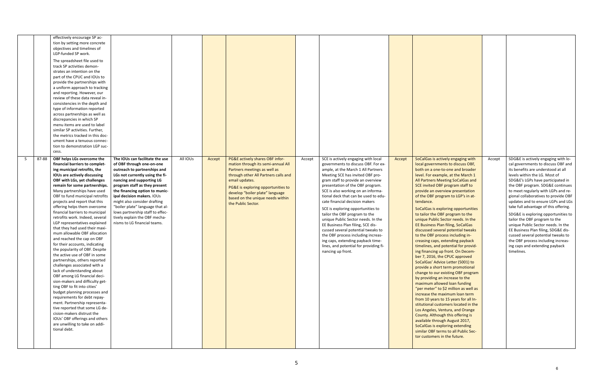|    |       | effectively encourage SP ac-<br>tion by setting more concrete<br>objectives and timelines of<br>LGP-funded SP work.<br>The spreadsheet file used to<br>track SP activities demon-<br>strates an intention on the<br>part of the CPUC and IOUs to<br>provide the partnerships with<br>a uniform approach to tracking<br>and reporting. However, our<br>review of these data reveal in-<br>consistencies in the depth and<br>type of information reported<br>across partnerships as well as<br>discrepancies in which SP<br>menu items are used to label<br>similar SP activities. Further.<br>the metrics tracked in this doc-<br>ument have a tenuous connec-<br>tion to demonstration LGP suc-<br>cess.                                                                                                                                                                                                                                                                                                                                                                                              |                                                                                                                                                                                                                                                                                                                                                                                                                                        |          |        |                                                                                                                                                                                                                                                                                                    |        |                                                                                                                                                                                                                                                                                                                                                                                                                                                                                                                                                                                                                                                                                |        |                                                                                                                                                                                                                                                                                                                                                                                                                                                                                                                                                                                                                                                                                                                                                                                                                                                                                                                                                                                                                                                                                                                                                                                                                                                                                 |        |                                                                                                                                                                                                                                                                                                                                                                                                                                                                                                                                                                                                                                                                          |
|----|-------|-------------------------------------------------------------------------------------------------------------------------------------------------------------------------------------------------------------------------------------------------------------------------------------------------------------------------------------------------------------------------------------------------------------------------------------------------------------------------------------------------------------------------------------------------------------------------------------------------------------------------------------------------------------------------------------------------------------------------------------------------------------------------------------------------------------------------------------------------------------------------------------------------------------------------------------------------------------------------------------------------------------------------------------------------------------------------------------------------------|----------------------------------------------------------------------------------------------------------------------------------------------------------------------------------------------------------------------------------------------------------------------------------------------------------------------------------------------------------------------------------------------------------------------------------------|----------|--------|----------------------------------------------------------------------------------------------------------------------------------------------------------------------------------------------------------------------------------------------------------------------------------------------------|--------|--------------------------------------------------------------------------------------------------------------------------------------------------------------------------------------------------------------------------------------------------------------------------------------------------------------------------------------------------------------------------------------------------------------------------------------------------------------------------------------------------------------------------------------------------------------------------------------------------------------------------------------------------------------------------------|--------|---------------------------------------------------------------------------------------------------------------------------------------------------------------------------------------------------------------------------------------------------------------------------------------------------------------------------------------------------------------------------------------------------------------------------------------------------------------------------------------------------------------------------------------------------------------------------------------------------------------------------------------------------------------------------------------------------------------------------------------------------------------------------------------------------------------------------------------------------------------------------------------------------------------------------------------------------------------------------------------------------------------------------------------------------------------------------------------------------------------------------------------------------------------------------------------------------------------------------------------------------------------------------------|--------|--------------------------------------------------------------------------------------------------------------------------------------------------------------------------------------------------------------------------------------------------------------------------------------------------------------------------------------------------------------------------------------------------------------------------------------------------------------------------------------------------------------------------------------------------------------------------------------------------------------------------------------------------------------------------|
| -5 | 87-88 | OBF helps LGs overcome the<br>financial barriers to complet-<br>ing municipal retrofits, the<br>IOUs are actively discussing<br>OBF with LGs, yet challenges<br>remain for some partnerships.<br>Many partnerships have used<br>OBF to fund municipal retrofits<br>projects and report that this<br>offering helps them overcome<br>financial barriers to municipal<br>retrofits work. Indeed, several<br>LGP representatives explained<br>that they had used their maxi-<br>mum allowable OBF allocation<br>and reached the cap on OBF<br>for their accounts, indicating<br>the popularity of OBF. Despite<br>the active use of OBF in some<br>partnerships, others reported<br>challenges associated with a<br>lack of understanding about<br>OBF among LG financial deci-<br>sion-makers and difficulty get-<br>ting OBF to fit into cities'<br>budget planning processes and<br>requirements for debt repay-<br>ment. Partnership representa-<br>tive reported that some LG de-<br>cision-makers distrust the<br>IOUs' OBF offerings and others<br>are unwilling to take on addi-<br>tional debt. | The IOUs can facilitate the use<br>of OBF through one-on-one<br>outreach to partnerships and<br>LGs not currently using the fi-<br>nancing and supporting LG<br>program staff as they present<br>the financing option to munic-<br>ipal decision makers. IOUs<br>might also consider drafting<br>"boiler plate" language that al-<br>lows partnership staff to effec-<br>tively explain the OBF mecha-<br>nisms to LG financial teams. | All IOUs | Accept | PG&E actively shares OBF infor-<br>mation through its semi-annual All<br>Partners meetings as well as<br>through other All Partners calls and<br>email updates.<br>PG&E is exploring opportunities to<br>develop "boiler plate" language<br>based on the unique needs within<br>the Public Sector. | Accept | SCE is actively engaging with local<br>governments to discuss OBF. For ex-<br>ample, at the March 1 All Partners<br>Meeting SCE has invited OBF pro-<br>gram staff to provide an overview<br>presentation of the OBF program.<br>SCE is also working on an informa-<br>tional deck that can be used to edu-<br>cate financial decision makers<br>SCE is exploring opportunities to<br>tailor the OBF program to the<br>unique Public Sector needs. In the<br>EE Business Plan filing, SCE dis-<br>cussed several potential tweaks to<br>the OBF process including increas-<br>ing caps, extending payback time-<br>lines, and potential for providing fi-<br>nancing up front. | Accept | SoCalGas is actively engaging with<br>local governments to discuss OBF,<br>both on a one-to-one and broader<br>level. For example, at the March 1<br>All Partners Meeting SoCalGas and<br>SCE invited OBF program staff to<br>provide an overview presentation<br>of the OBF program to LGP's in at-<br>tendance.<br>SoCalGas is exploring opportunities<br>to tailor the OBF program to the<br>unique Public Sector needs. In the<br><b>EE Business Plan filing, SoCalGas</b><br>discussed several potential tweaks<br>to the OBF process including in-<br>creasing caps, extending payback<br>timelines, and potential for provid-<br>ing financing up front. On Decem-<br>ber 7, 2016, the CPUC approved<br>SoCalGas' Advice Letter (5001) to<br>provide a short term promotional<br>change to our existing OBF program<br>by providing an increase to the<br>maximum allowed loan funding<br>"per meter" to \$2 million as well as<br>increase the maximum loan term<br>from 10 years to 15 years for all In-<br>stitutional customers located in the<br>Los Angeles, Ventura, and Orange<br>County. Although this offering is<br>available through August 2017,<br>SoCalGas is exploring extending<br>similar OBF terms to all Public Sec-<br>tor customers in the future. | Accept | SDG&E is actively engaging with lo-<br>cal governments to discuss OBF and<br>its benefits are understood at all<br>levels within the LG. Most of<br>SDG&E's LGPs have participated in<br>the OBF program. SDG&E continues<br>to meet regularly with LGPs and re-<br>gional collaboratives to provide OBF<br>updates and to ensure LGPs and LGs<br>take full advantage of this offering.<br>SDG&E is exploring opportunities to<br>tailor the OBF program to the<br>unique Public Sector needs. In the<br>EE Business Plan filing, SDG&E dis-<br>cussed several potential tweaks to<br>the OBF process including increas-<br>ing caps and extending payback<br>timelines. |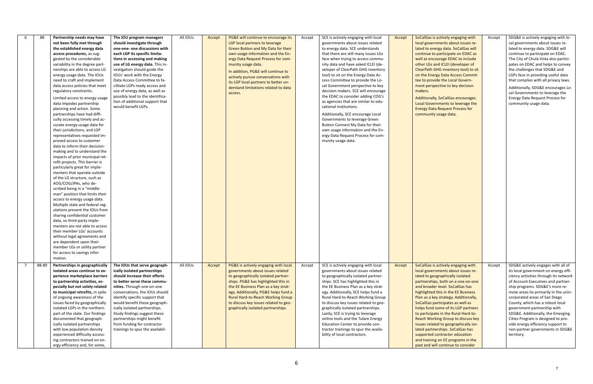|                | 88    | Partnership needs may have<br>not been fully met through<br>the established energy data<br>access procedures, as sug-<br>gested by the considerable<br>variability in the degree part-<br>nerships are able to access LG<br>energy usage data. The IOUs<br>need to craft and implement<br>data access policies that meet<br>regulatory constraints.<br>Limited access to energy usage<br>data impedes partnership<br>planning and action. Some<br>partnerships have had diffi-<br>culty accessing timely and ac-<br>curate energy-usage data for<br>their jurisdictions, and LGP<br>representatives requested im-<br>proved access to customer<br>data to inform their decision-<br>making and to understand the<br>impacts of prior municipal ret-<br>rofit projects. This barrier is<br>particularly great for imple-<br>menters that operate outside<br>of the LG structure, such as<br>AOG/COG/JPAs, who de-<br>scribed being in a "middle-<br>man" position that limits their<br>access to energy usage data.<br>Multiple state and federal reg-<br>ulations prevent the IOUs from<br>sharing confidential customer<br>data, so third-party imple-<br>menters are not able to access<br>their member LGs' accounts<br>without legal agreements and | The IOU program managers<br>should investigate through<br>one-one- one discussions with<br>each LGP its specific limita-<br>tions in accessing and making<br>use of LG energy data. This in-<br>vestigation should guide the<br>IOUs' work with the Energy<br>Data Access Committee to fa-<br>cilitate LGPs ready access and<br>use of energy data, as well as<br>possibly lead to the identifica-<br>tion of additional support that<br>would benefit LGPs. | All IOUs | Accept | PG&E will continue to encourage its<br>LGP local partners to leverage<br>Green Button and My Data for their<br>own usage information and the En-<br>ergy Data Request Process for com-<br>munity usage data.<br>In addition, PG&E will continue to<br>actively pursue conversations with<br>its LGP local partners to better un-<br>derstand limitations related to data<br>access. | Accept | SCE is actively engaging with local<br>governments about issues related<br>to energy data. SCE understands<br>that there are still many issues LGs<br>face when trying to access commu-<br>nity data and have asked ICLEI (de-<br>veloper of ClearPath GHG inventory<br>tool) to sit on the Energy Data Ac-<br>cess Committee to provide the Lo-<br>cal Government perspective to key<br>decision makers. SCE will encourage<br>the EDAC to consider adding COG's<br>as agencies that are similar to edu-<br>cational institutions.<br>Additionally, SCE encourage Local<br>Governments to leverage Green<br>Button Connect My Data for their<br>own usage information and the En-<br>ergy Data Request Process for com-<br>munity usage data. | Accept | SoCalGas is actively engaging with<br>local governments about issues re-<br>lated to energy data. SoCalGas will<br>continue to participate on EDAC as<br>well as encourage EDAC to include<br>other LGs and ICLEI (developer of<br>ClearPath GHG inventory tool) to sit<br>on the Energy Data Access Commit-<br>tee to provide the Local Govern-<br>ment perspective to key decision<br>makers.<br>Additionally, SoCalGas encourages<br>Local Governments to leverage the<br><b>Energy Data Request Process for</b><br>community usage data.                                                                              | Accept | SDG&E is actively engaging with lo-<br>cal governments about issues re-<br>lated to energy data. SDG&E will<br>continue to participate on EDAC.<br>The City of Chula Vista also partici-<br>pates on EDAC and helps to convey<br>the challenges that SDG&E and<br>LGPs face in providing useful data<br>that complies with all privacy laws.<br>Additionally, SDG&E encourages Lo-<br>cal Governments to leverage the<br><b>Energy Data Request Process for</b><br>community usage data.                    |
|----------------|-------|---------------------------------------------------------------------------------------------------------------------------------------------------------------------------------------------------------------------------------------------------------------------------------------------------------------------------------------------------------------------------------------------------------------------------------------------------------------------------------------------------------------------------------------------------------------------------------------------------------------------------------------------------------------------------------------------------------------------------------------------------------------------------------------------------------------------------------------------------------------------------------------------------------------------------------------------------------------------------------------------------------------------------------------------------------------------------------------------------------------------------------------------------------------------------------------------------------------------------------------------------------|--------------------------------------------------------------------------------------------------------------------------------------------------------------------------------------------------------------------------------------------------------------------------------------------------------------------------------------------------------------------------------------------------------------------------------------------------------------|----------|--------|-------------------------------------------------------------------------------------------------------------------------------------------------------------------------------------------------------------------------------------------------------------------------------------------------------------------------------------------------------------------------------------|--------|------------------------------------------------------------------------------------------------------------------------------------------------------------------------------------------------------------------------------------------------------------------------------------------------------------------------------------------------------------------------------------------------------------------------------------------------------------------------------------------------------------------------------------------------------------------------------------------------------------------------------------------------------------------------------------------------------------------------------------------------|--------|---------------------------------------------------------------------------------------------------------------------------------------------------------------------------------------------------------------------------------------------------------------------------------------------------------------------------------------------------------------------------------------------------------------------------------------------------------------------------------------------------------------------------------------------------------------------------------------------------------------------------|--------|-------------------------------------------------------------------------------------------------------------------------------------------------------------------------------------------------------------------------------------------------------------------------------------------------------------------------------------------------------------------------------------------------------------------------------------------------------------------------------------------------------------|
|                |       | are dependent upon their<br>member LGs or utility partner<br>for access to savings infor-                                                                                                                                                                                                                                                                                                                                                                                                                                                                                                                                                                                                                                                                                                                                                                                                                                                                                                                                                                                                                                                                                                                                                               |                                                                                                                                                                                                                                                                                                                                                                                                                                                              |          |        |                                                                                                                                                                                                                                                                                                                                                                                     |        |                                                                                                                                                                                                                                                                                                                                                                                                                                                                                                                                                                                                                                                                                                                                                |        |                                                                                                                                                                                                                                                                                                                                                                                                                                                                                                                                                                                                                           |        |                                                                                                                                                                                                                                                                                                                                                                                                                                                                                                             |
| $\overline{7}$ | 88-89 | mation.<br>Partnerships in geographically<br>isolated areas continue to ex-<br>perience marketplace barriers<br>to partnership activities, es-<br>pecially but not solely related<br>to municipal retrofits, in spite<br>of ongoing awareness of the<br>issues faced by geographically<br>isolated LGPs in the northern<br>part of the state. Our findings<br>documented that geograph-<br>ically isolated partnerships<br>with low population density<br>experienced difficulty access-<br>ing contractors trained on en-<br>ergy efficiency and, for some,                                                                                                                                                                                                                                                                                                                                                                                                                                                                                                                                                                                                                                                                                            | The IOUs that serve geograph-<br>ically isolated partnerships<br>should increase their efforts<br>to better serve these commu-<br>nities. Through one-on-one<br>conversations, the IOUs should<br>identify specific support that<br>would benefit these geograph-<br>ically isolated partnerships.<br>Study findings suggest these<br>partnerships might benefit<br>from funding for contractor<br>trainings to spur the availabil-                          | All IOUs | Accept | PG&E is actively engaging with local<br>governments about issues related<br>to geographically isolated partner-<br>ships. PG&E has highlighted this in<br>the EE Business Plan as a key strat-<br>egy. Additionally, PG&E helps fund a<br>Rural Hard-to-Reach Working Group<br>to discuss key issues related to geo-<br>graphically isolated partnerships.                          | Accept | SCE is actively engaging with local<br>governments about issues related<br>to geographically isolated partner-<br>ships. SCE has highlighted this in<br>the EE Business Plan as a key strat-<br>egy. Additionally, SCE helps fund a<br>Rural Hard-to-Reach Working Group<br>to discuss key issues related to geo-<br>graphically isolated partnerships.<br>Lastly, SCE is trying to leverage<br>online tools and the Tulare Energy<br>Education Center to provide con-<br>tractor trainings to spur the availa-<br>bility of local contractors.                                                                                                                                                                                                | Accept | SoCalGas is actively engaging with<br>local governments about issues re-<br>lated to geographically isolated<br>partnerships, both on a one-on-one<br>and broader level. SoCalGas has<br>highlighted this in the EE Business<br>Plan as a key strategy. Additionally,<br>SoCalGas participates as well as<br>helps fund some of its LGP partners<br>to participate in the Rural Hard-to-<br>Reach Working Group to discuss key<br>issues related to geographically iso-<br>lated partnerships. SoCalGas has<br>supported contractor education<br>and training on EE programs in the<br>past and will continue to consider | Accept | SDG&E actively engages with all of<br>its local government on energy effi-<br>ciency activities through its network<br>of Account Executives and partner-<br>ship programs. SDG&E's more re-<br>mote areas lie primarily in the unin-<br>corporated areas of San Diego<br>County, which has a robust local<br>government partnership with<br>SDG&E. Additionally, the Emerging<br>Cities Program is designed to pro-<br>vide energy efficiency support to<br>non-partner governments in SDG&E<br>territory. |